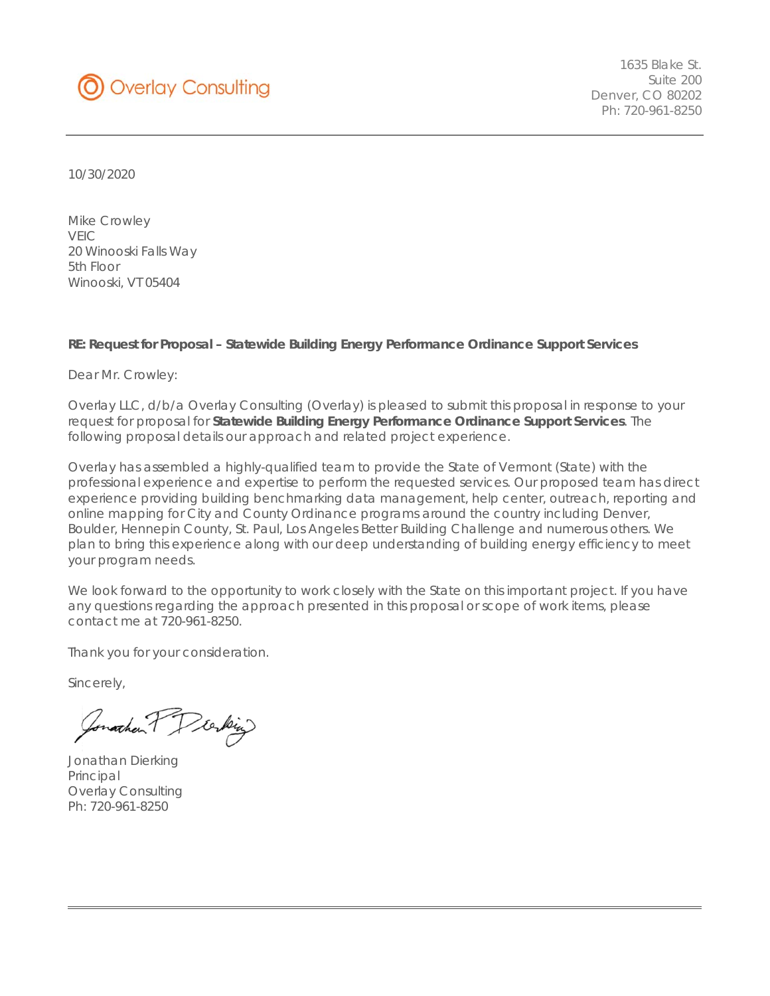

 1635 Blake St. Suite 200 Denver, CO 80202 Ph: 720-961-8250

10/30/2020

Mike Crowley VEIC 20 Winooski Falls Way 5th Floor Winooski, VT 05404

#### **RE: Request for Proposal – Statewide Building Energy Performance Ordinance Support Services**

Dear Mr. Crowley:

Overlay LLC, d/b/a Overlay Consulting (Overlay) is pleased to submit this proposal in response to your request for proposal for **Statewide Building Energy Performance Ordinance Support Services**. The following proposal details our approach and related project experience.

Overlay has assembled a highly-qualified team to provide the State of Vermont (State) with the professional experience and expertise to perform the requested services. Our proposed team has direct experience providing building benchmarking data management, help center, outreach, reporting and online mapping for City and County Ordinance programs around the country including Denver, Boulder, Hennepin County, St. Paul, Los Angeles Better Building Challenge and numerous others. We plan to bring this experience along with our deep understanding of building energy efficiency to meet your program needs.

We look forward to the opportunity to work closely with the State on this important project. If you have any questions regarding the approach presented in this proposal or scope of work items, please contact me at 720-961-8250.

Thank you for your consideration.

Sincerely,

Jonathan Preking

Jonathan Dierking Principal Overlay Consulting Ph: 720-961-8250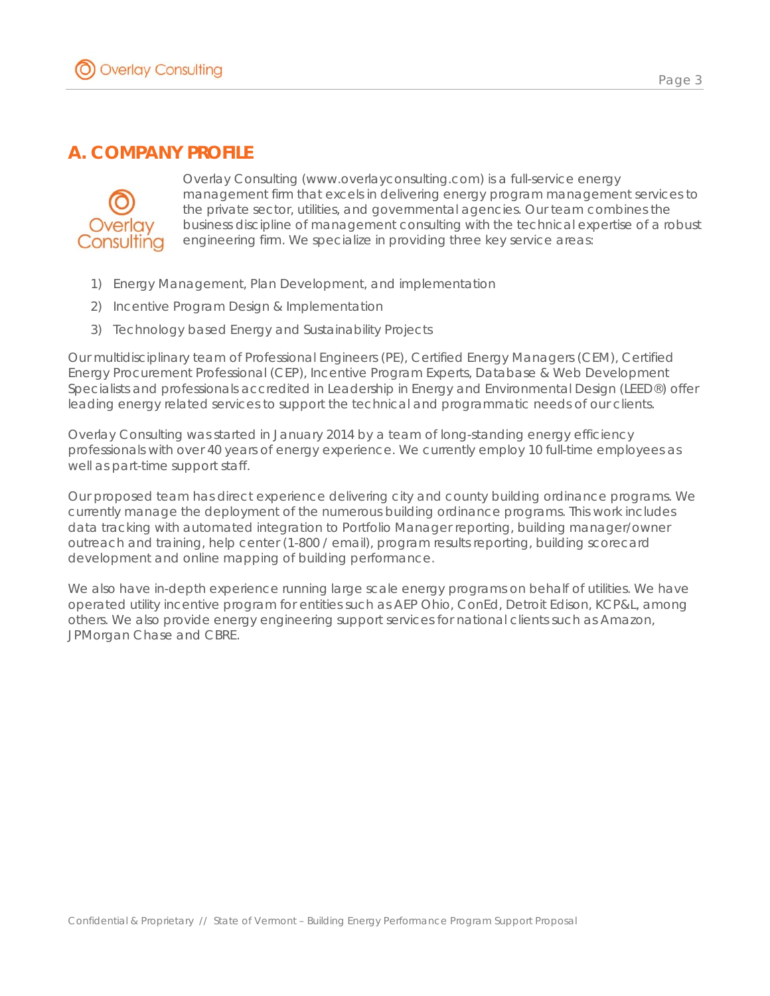

## **A. COMPANY PROFILE**



Overlay Consulting (www.overlayconsulting.com) is a full-service energy management firm that excels in delivering energy program management services to the private sector, utilities, and governmental agencies. Our team combines the business discipline of management consulting with the technical expertise of a robust engineering firm. We specialize in providing three key service areas:

- 1) Energy Management, Plan Development, and implementation
- 2) Incentive Program Design & Implementation
- 3) Technology based Energy and Sustainability Projects

Our multidisciplinary team of Professional Engineers (PE), Certified Energy Managers (CEM), Certified Energy Procurement Professional (CEP), Incentive Program Experts, Database & Web Development Specialists and professionals accredited in Leadership in Energy and Environmental Design (LEED®) offer leading energy related services to support the technical and programmatic needs of our clients.

Overlay Consulting was started in January 2014 by a team of long-standing energy efficiency professionals with over 40 years of energy experience. We currently employ 10 full-time employees as well as part-time support staff.

Our proposed team has direct experience delivering city and county building ordinance programs. We currently manage the deployment of the numerous building ordinance programs. This work includes data tracking with automated integration to Portfolio Manager reporting, building manager/owner outreach and training, help center (1-800 / email), program results reporting, building scorecard development and online mapping of building performance.

We also have in-depth experience running large scale energy programs on behalf of utilities. We have operated utility incentive program for entities such as AEP Ohio, ConEd, Detroit Edison, KCP&L, among others. We also provide energy engineering support services for national clients such as Amazon, JPMorgan Chase and CBRE.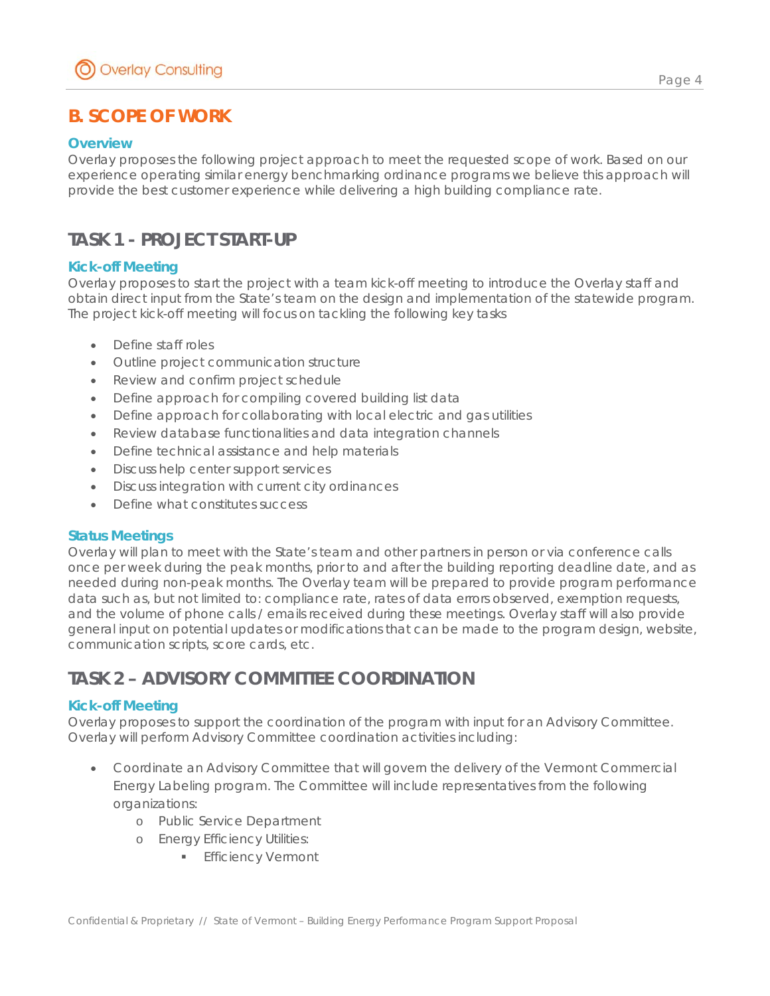# **B. SCOPE OF WORK**

### **Overview**

Overlay proposes the following project approach to meet the requested scope of work. Based on our experience operating similar energy benchmarking ordinance programs we believe this approach will provide the best customer experience while delivering a high building compliance rate.

## **TASK 1 - PROJECT START-UP**

### **Kick-off Meeting**

Overlay proposes to start the project with a team kick-off meeting to introduce the Overlay staff and obtain direct input from the State's team on the design and implementation of the statewide program. The project kick-off meeting will focus on tackling the following key tasks

- Define staff roles
- Outline project communication structure
- Review and confirm project schedule
- Define approach for compiling covered building list data
- Define approach for collaborating with local electric and gas utilities
- Review database functionalities and data integration channels
- Define technical assistance and help materials
- **•** Discuss help center support services
- Discuss integration with current city ordinances
- Define what constitutes success

#### **Status Meetings**

Overlay will plan to meet with the State's team and other partners in person or via conference calls once per week during the peak months, prior to and after the building reporting deadline date, and as needed during non-peak months. The Overlay team will be prepared to provide program performance data such as, but not limited to: compliance rate, rates of data errors observed, exemption requests, and the volume of phone calls / emails received during these meetings. Overlay staff will also provide general input on potential updates or modifications that can be made to the program design, website, communication scripts, score cards, etc.

# **TASK 2 – ADVISORY COMMITTEE COORDINATION**

#### **Kick-off Meeting**

Overlay proposes to support the coordination of the program with input for an Advisory Committee. Overlay will perform Advisory Committee coordination activities including:

- Coordinate an Advisory Committee that will govern the delivery of the Vermont Commercial Energy Labeling program. The Committee will include representatives from the following organizations:
	- o Public Service Department
	- o Energy Efficiency Utilities:
		- **Efficiency Vermont**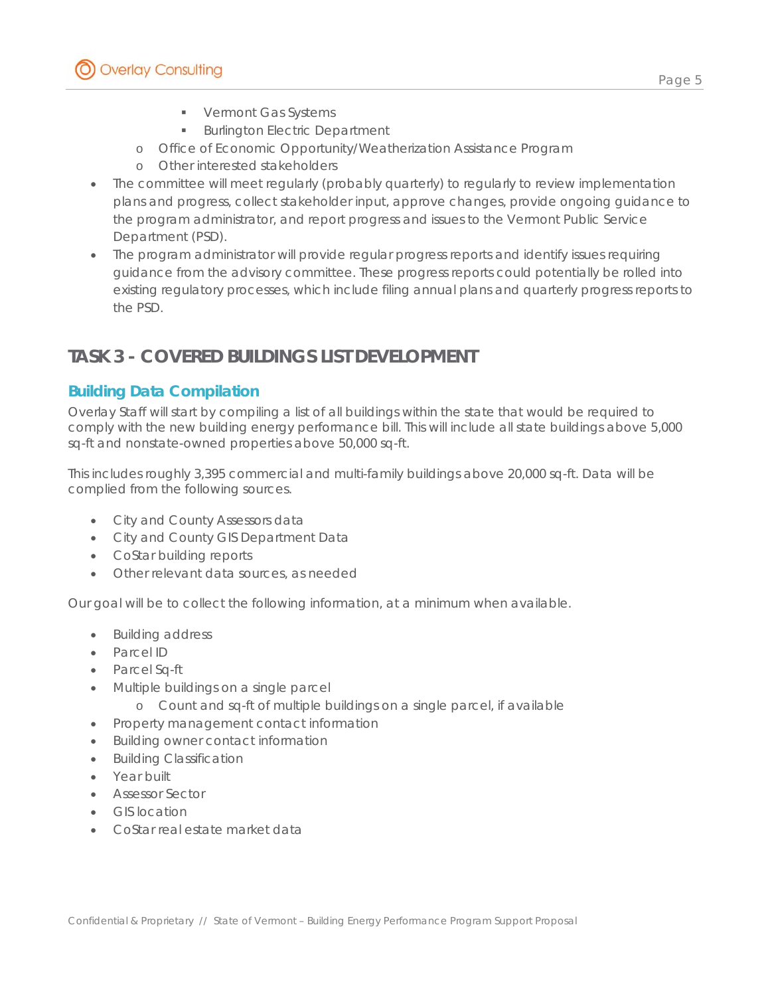Page 5

- **Vermont Gas Systems**
- **Burlington Electric Department**
- o Office of Economic Opportunity/Weatherization Assistance Program
- o Other interested stakeholders
- The committee will meet regularly (probably quarterly) to regularly to review implementation plans and progress, collect stakeholder input, approve changes, provide ongoing guidance to the program administrator, and report progress and issues to the Vermont Public Service Department (PSD).
- The program administrator will provide regular progress reports and identify issues requiring guidance from the advisory committee. These progress reports could potentially be rolled into existing regulatory processes, which include filing annual plans and quarterly progress reports to the PSD.

# **TASK 3 - COVERED BUILDINGS LIST DEVELOPMENT**

## *Building Data Compilation*

Overlay Staff will start by compiling a list of all buildings within the state that would be required to comply with the new building energy performance bill. This will include all state buildings above 5,000 sq-ft and nonstate-owned properties above 50,000 sq-ft.

This includes roughly 3,395 commercial and multi-family buildings above 20,000 sq-ft. Data will be complied from the following sources.

- City and County Assessors data
- City and County GIS Department Data
- CoStar building reports
- Other relevant data sources, as needed

Our goal will be to collect the following information, at a minimum when available.

- Building address
- Parcel ID
- Parcel Sq-ft
- Multiple buildings on a single parcel
	- o Count and sq-ft of multiple buildings on a single parcel, if available
- Property management contact information
- Building owner contact information
- Building Classification
- Year built
- Assessor Sector
- GIS location
- CoStar real estate market data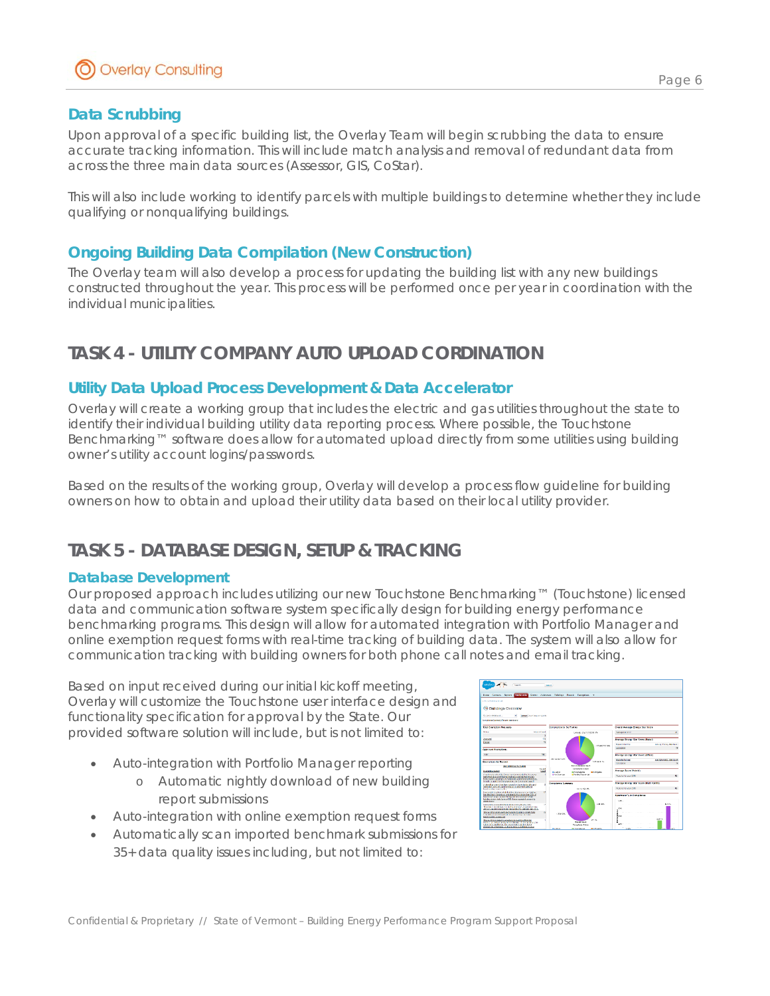## *Data Scrubbing*

Upon approval of a specific building list, the Overlay Team will begin scrubbing the data to ensure accurate tracking information. This will include match analysis and removal of redundant data from across the three main data sources (Assessor, GIS, CoStar).

This will also include working to identify parcels with multiple buildings to determine whether they include qualifying or nonqualifying buildings.

## *Ongoing Building Data Compilation (New Construction)*

The Overlay team will also develop a process for updating the building list with any new buildings constructed throughout the year. This process will be performed once per year in coordination with the individual municipalities.

# **TASK 4 - UTILITY COMPANY AUTO UPLOAD CORDINATION**

## *Utility Data Upload Process Development & Data Accelerator*

Overlay will create a working group that includes the electric and gas utilities throughout the state to identify their individual building utility data reporting process. Where possible, the Touchstone Benchmarking™ software does allow for automated upload directly from some utilities using building owner's utility account logins/passwords.

Based on the results of the working group, Overlay will develop a process flow guideline for building owners on how to obtain and upload their utility data based on their local utility provider.

## **TASK 5 - DATABASE DESIGN, SETUP & TRACKING**

#### **Database Development**

Our proposed approach includes utilizing our new Touchstone Benchmarking™ (Touchstone) licensed data and communication software system specifically design for building energy performance benchmarking programs. This design will allow for automated integration with Portfolio Manager and online exemption request forms with real-time tracking of building data. The system will also allow for communication tracking with building owners for both phone call notes and email tracking.

Based on input received during our initial kickoff meeting, Overlay will customize the Touchstone user interface design and functionality specification for approval by the State. Our provided software solution will include, but is not limited to:

- Auto-integration with Portfolio Manager reporting
	- o Automatic nightly download of new building report submissions
- Auto-integration with online exemption request forms
- Automatically scan imported benchmark submissions for 35+ data quality issues including, but not limited to:

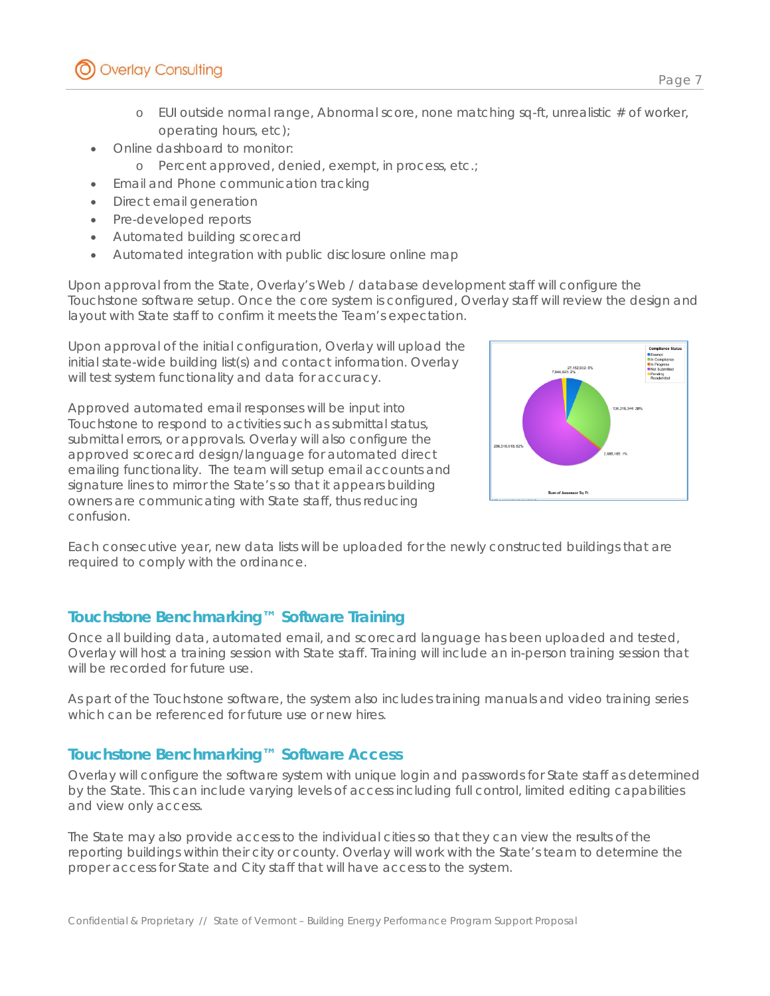- $\circ$  EUI outside normal range, Abnormal score, none matching sq-ft, unrealistic # of worker, operating hours, etc);
- Online dashboard to monitor:
	- o Percent approved, denied, exempt, in process, etc.;
- Email and Phone communication tracking
- Direct email generation
- Pre-developed reports
- Automated building scorecard
- Automated integration with public disclosure online map

Upon approval from the State, Overlay's Web / database development staff will configure the Touchstone software setup. Once the core system is configured, Overlay staff will review the design and layout with State staff to confirm it meets the Team's expectation.

Upon approval of the initial configuration, Overlay will upload the initial state-wide building list(s) and contact information. Overlay will test system functionality and data for accuracy.

Approved automated email responses will be input into Touchstone to respond to activities such as submittal status, submittal errors, or approvals. Overlay will also configure the approved scorecard design/language for automated direct emailing functionality. The team will setup email accounts and signature lines to mirror the State's so that it appears building owners are communicating with State staff, thus reducing confusion.



Each consecutive year, new data lists will be uploaded for the newly constructed buildings that are required to comply with the ordinance.

## *Touchstone Benchmarking™ Software Training*

Once all building data, automated email, and scorecard language has been uploaded and tested, Overlay will host a training session with State staff. Training will include an in-person training session that will be recorded for future use.

As part of the Touchstone software, the system also includes training manuals and video training series which can be referenced for future use or new hires.

## *Touchstone Benchmarking™ Software Access*

Overlay will configure the software system with unique login and passwords for State staff as determined by the State. This can include varying levels of access including full control, limited editing capabilities and view only access.

The State may also provide access to the individual cities so that they can view the results of the reporting buildings within their city or county. Overlay will work with the State's team to determine the proper access for State and City staff that will have access to the system.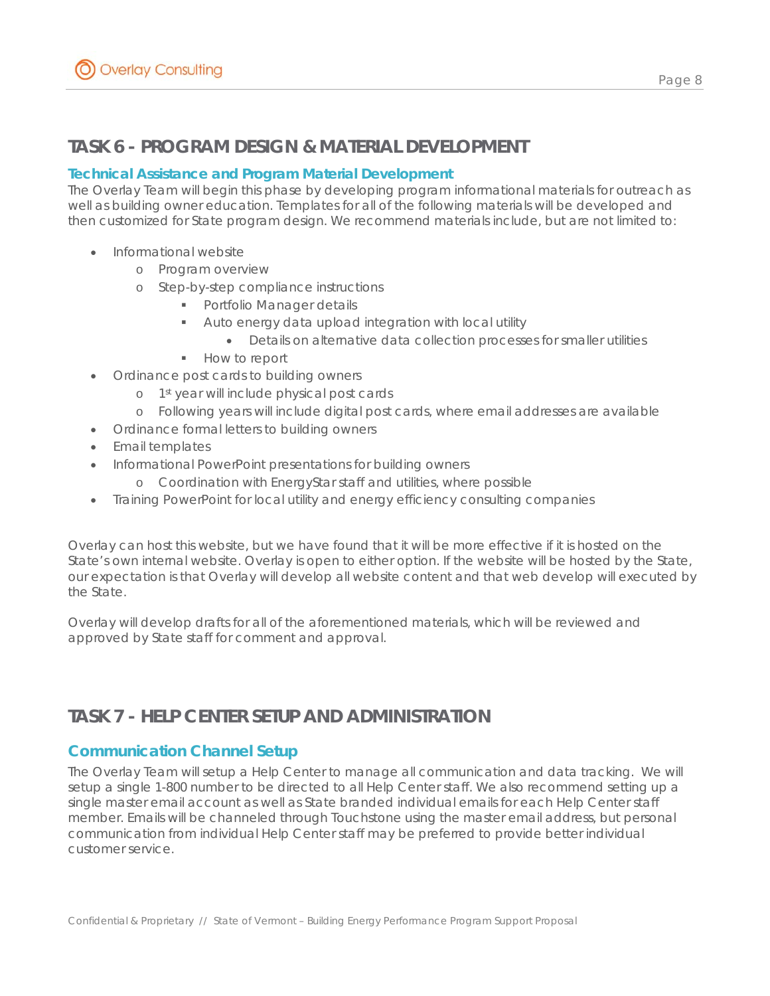## **TASK 6 - PROGRAM DESIGN & MATERIAL DEVELOPMENT**

### **Technical Assistance and Program Material Development**

The Overlay Team will begin this phase by developing program informational materials for outreach as well as building owner education. Templates for all of the following materials will be developed and then customized for State program design. We recommend materials include, but are not limited to:

- Informational website
	- o Program overview
	- o Step-by-step compliance instructions
		- **Portfolio Manager details**
		- Auto energy data upload integration with local utility
			- Details on alternative data collection processes for smaller utilities
		- **How to report**
- Ordinance post cards to building owners
	- o 1<sup>st</sup> year will include physical post cards
- o Following years will include digital post cards, where email addresses are available
- Ordinance formal letters to building owners
- Email templates
- Informational PowerPoint presentations for building owners
	- o Coordination with EnergyStar staff and utilities, where possible
- Training PowerPoint for local utility and energy efficiency consulting companies

Overlay can host this website, but we have found that it will be more effective if it is hosted on the State's own internal website. Overlay is open to either option. If the website will be hosted by the State, our expectation is that Overlay will develop all website content and that web develop will executed by the State.

Overlay will develop drafts for all of the aforementioned materials, which will be reviewed and approved by State staff for comment and approval.

## **TASK 7 - HELP CENTER SETUP AND ADMINISTRATION**

## *Communication Channel Setup*

The Overlay Team will setup a Help Center to manage all communication and data tracking. We will setup a single 1-800 number to be directed to all Help Center staff. We also recommend setting up a single master email account as well as State branded individual emails for each Help Center staff member. Emails will be channeled through Touchstone using the master email address, but personal communication from individual Help Center staff may be preferred to provide better individual customer service.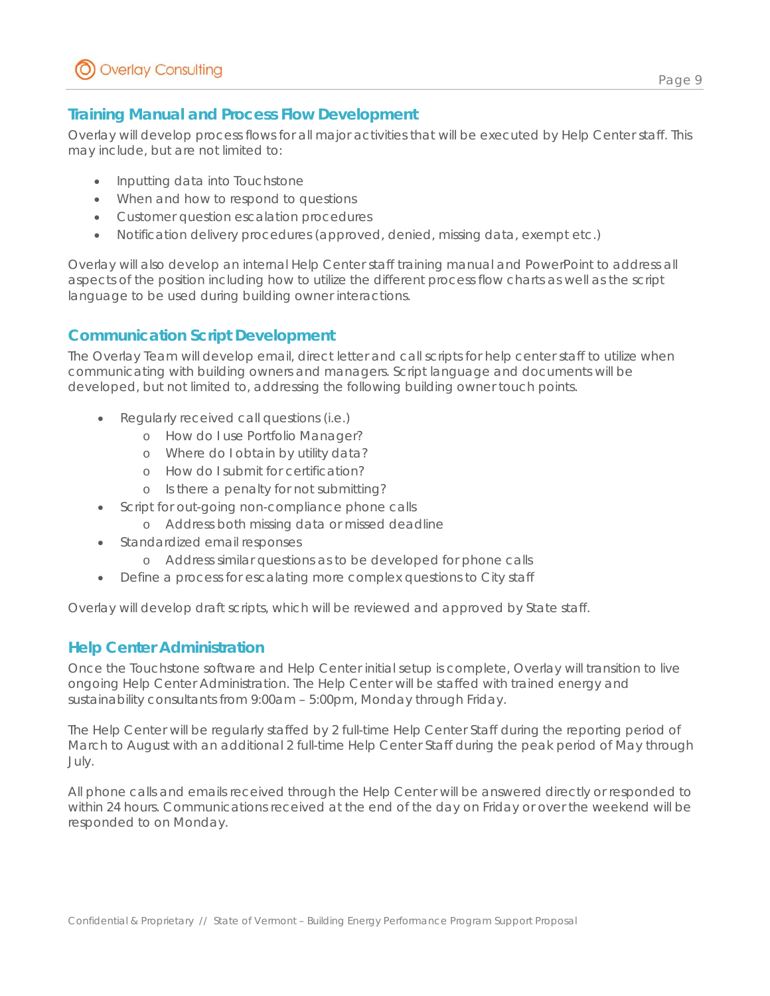## *Training Manual and Process Flow Development*

Overlay will develop process flows for all major activities that will be executed by Help Center staff. This may include, but are not limited to:

- Inputting data into Touchstone
- When and how to respond to questions
- Customer question escalation procedures
- Notification delivery procedures (approved, denied, missing data, exempt etc.)

Overlay will also develop an internal Help Center staff training manual and PowerPoint to address all aspects of the position including how to utilize the different process flow charts as well as the script language to be used during building owner interactions.

## *Communication Script Development*

The Overlay Team will develop email, direct letter and call scripts for help center staff to utilize when communicating with building owners and managers. Script language and documents will be developed, but not limited to, addressing the following building owner touch points.

- Regularly received call questions (i.e.)
	- o How do I use Portfolio Manager?
	- o Where do I obtain by utility data?
	- o How do I submit for certification?
	- o Is there a penalty for not submitting?
- Script for out-going non-compliance phone calls
	- o Address both missing data or missed deadline
- Standardized email responses
	- o Address similar questions as to be developed for phone calls
- Define a process for escalating more complex questions to City staff

Overlay will develop draft scripts, which will be reviewed and approved by State staff.

## *Help Center Administration*

Once the Touchstone software and Help Center initial setup is complete, Overlay will transition to live ongoing Help Center Administration. The Help Center will be staffed with trained energy and sustainability consultants from 9:00am – 5:00pm, Monday through Friday.

The Help Center will be regularly staffed by 2 full-time Help Center Staff during the reporting period of March to August with an additional 2 full-time Help Center Staff during the peak period of May through July.

All phone calls and emails received through the Help Center will be answered directly or responded to within 24 hours. Communications received at the end of the day on Friday or over the weekend will be responded to on Monday.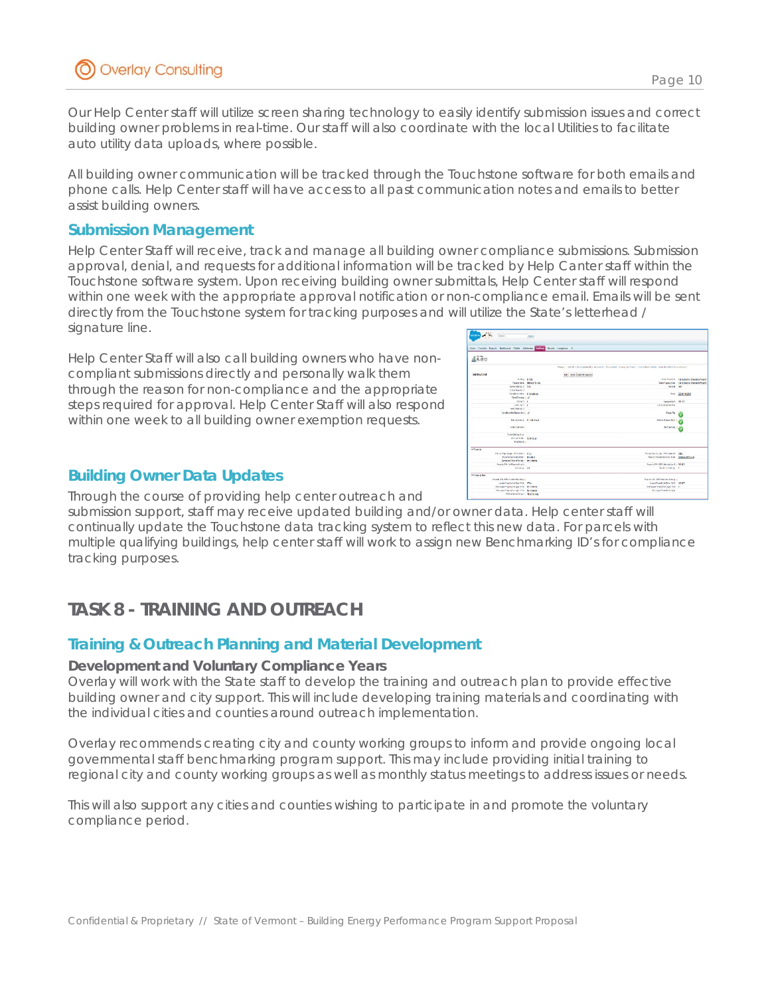Our Help Center staff will utilize screen sharing technology to easily identify submission issues and correct building owner problems in real-time. Our staff will also coordinate with the local Utilities to facilitate auto utility data uploads, where possible.

All building owner communication will be tracked through the Touchstone software for both emails and phone calls. Help Center staff will have access to all past communication notes and emails to better assist building owners.

### *Submission Management*

Help Center Staff will receive, track and manage all building owner compliance submissions. Submission approval, denial, and requests for additional information will be tracked by Help Canter staff within the Touchstone software system. Upon receiving building owner submittals, Help Center staff will respond within one week with the appropriate approval notification or non-compliance email. Emails will be sent directly from the Touchstone system for tracking purposes and will utilize the State's letterhead / signature line.

Help Center Staff will also call building owners who have noncompliant submissions directly and personally walk them through the reason for non-compliance and the appropriate steps required for approval. Help Center Staff will also respond within one week to all building owner exemption requests.

## *Building Owner Data Updates*

Through the course of providing help center outreach and

submission support, staff may receive updated building and/or owner data. Help center staff will continually update the Touchstone data tracking system to reflect this new data. For parcels with multiple qualifying buildings, help center staff will work to assign new Benchmarking ID's for compliance tracking purposes.

# **TASK 8 - TRAINING AND OUTREACH**

## *Training & Outreach Planning and Material Development*

#### **Development and Voluntary Compliance Years**

Overlay will work with the State staff to develop the training and outreach plan to provide effective building owner and city support. This will include developing training materials and coordinating with the individual cities and counties around outreach implementation.

Overlay recommends creating city and county working groups to inform and provide ongoing local governmental staff benchmarking program support. This may include providing initial training to regional city and county working groups as well as monthly status meetings to address issues or needs.

This will also support any cities and counties wishing to participate in and promote the voluntary compliance period.

Page 10

| water of the faces.                                               | <b>Starts</b>                                                                                                   |                                           |
|-------------------------------------------------------------------|-----------------------------------------------------------------------------------------------------------------|-------------------------------------------|
|                                                                   |                                                                                                                 |                                           |
| liste Catada Recco Dations Clabs Attness (1731), Priors Lengton 4 |                                                                                                                 |                                           |
| $16 - 4312$                                                       |                                                                                                                 |                                           |
|                                                                   |                                                                                                                 |                                           |
|                                                                   | Regult Liberti   Reimsteder II   acrossit   Renderal   Regular/Ford:   Sond Mathwell   Knightcoll   Rubberg 201 |                                           |
| <b>Duilding Detail</b>                                            | CAL Ours Samilly Agreed                                                                                         |                                           |
| Billing E230                                                      |                                                                                                                 | <b>Rominson N. M.Aplabe Stackterhards</b> |
|                                                                   | <b>Contribute Eliminate Division</b>                                                                            | fascificavo kas - La Josiphe StandmeRosen |
| <b>Directable 9 SQL</b>                                           | for full 1800                                                                                                   |                                           |
| Diffic Associated                                                 |                                                                                                                 |                                           |
| Corplano Mex. In Canglaton                                        |                                                                                                                 | Front 000013063                           |
| TretTeary V                                                       |                                                                                                                 |                                           |
| 033671 6                                                          | Assume \$479 185, 127                                                                                           |                                           |
| Gilbert Sprit 1 &                                                 | <b>Constant School Road</b>                                                                                     |                                           |
| <b>Indulfield at 18</b>                                           |                                                                                                                 |                                           |
| Constitute Reduction Sect. 1 UK                                   | <b>Corps Fing</b>                                                                                               |                                           |
| Financial St. 10 Smith                                            | Particle Kongor, Mark                                                                                           |                                           |
| Crater Cubmoket                                                   | Unit Type Chap                                                                                                  |                                           |
| Code Baltim Date                                                  |                                                                                                                 |                                           |
| Inches Inter Composi-                                             |                                                                                                                 |                                           |
| <b>Fagligant</b> (1)                                              |                                                                                                                 |                                           |
| v Francis                                                         |                                                                                                                 |                                           |
| From Wardship Schools City.                                       | Person Presidy Law, 990 Collective  Class:                                                                      |                                           |
| Providen Andrésier Didges                                         | Provincial American Cost - platar/different                                                                     |                                           |
| Senior and Troduct Deviser - Net Andletin                         |                                                                                                                 |                                           |
| Prove O'R (biffapinalizati)                                       | Presidy DNL-17A Calendari (et R 11, 180 BD)                                                                     |                                           |
| Horace LE                                                         | <b>Business Faking 11</b>                                                                                       |                                           |
| * Property Box                                                    |                                                                                                                 |                                           |
| Projects-3-4 -4-99 Coloniated Reinfield, J.                       | Printed SPA - EPAC Mainted Financial                                                                            |                                           |
| Japan Property Lee Type - Fick Office                             | Largest Property Hee Type - Sc R 190 903                                                                        |                                           |
| 2-4 Legent Preside Sec Type - Policy - Non-America                | Indianal Power Sec Type - Scit 0                                                                                |                                           |
| 14 Laund Preside Business Policy McLeadable                       | 341 mml Preside St. Law                                                                                         |                                           |
| Without News Georgia 119 20 Building                              |                                                                                                                 |                                           |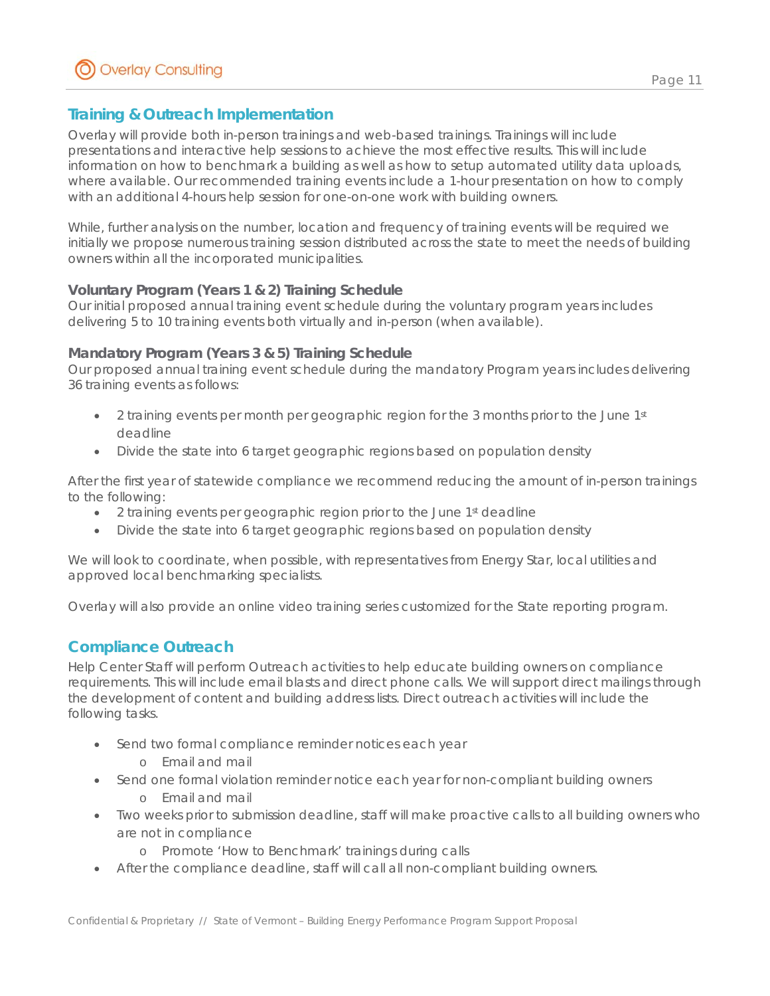### Page 11

## *Training & Outreach Implementation*

Overlay will provide both in-person trainings and web-based trainings. Trainings will include presentations and interactive help sessions to achieve the most effective results. This will include information on how to benchmark a building as well as how to setup automated utility data uploads, where available. Our recommended training events include a 1-hour presentation on how to comply with an additional 4-hours help session for one-on-one work with building owners.

While, further analysis on the number, location and frequency of training events will be required we initially we propose numerous training session distributed across the state to meet the needs of building owners within all the incorporated municipalities.

### **Voluntary Program (Years 1 & 2) Training Schedule**

Our initial proposed annual training event schedule during the voluntary program years includes delivering 5 to 10 training events both virtually and in-person (when available).

#### **Mandatory Program (Years 3 & 5) Training Schedule**

Our proposed annual training event schedule during the mandatory Program years includes delivering 36 training events as follows:

- $\bullet$  2 training events per month per geographic region for the 3 months prior to the June 1st deadline
- Divide the state into 6 target geographic regions based on population density

After the first year of statewide compliance we recommend reducing the amount of in-person trainings to the following:

- 2 training events per geographic region prior to the June 1st deadline
- Divide the state into 6 target geographic regions based on population density

We will look to coordinate, when possible, with representatives from Energy Star, local utilities and approved local benchmarking specialists.

Overlay will also provide an online video training series customized for the State reporting program.

## *Compliance Outreach*

Help Center Staff will perform Outreach activities to help educate building owners on compliance requirements. This will include email blasts and direct phone calls. We will support direct mailings through the development of content and building address lists. Direct outreach activities will include the following tasks.

- Send two formal compliance reminder notices each year
	- o Email and mail
- Send one formal violation reminder notice each year for non-compliant building owners
	- o Email and mail
- Two weeks prior to submission deadline, staff will make proactive calls to all building owners who are not in compliance
	- o Promote 'How to Benchmark' trainings during calls
- After the compliance deadline, staff will call all non-compliant building owners.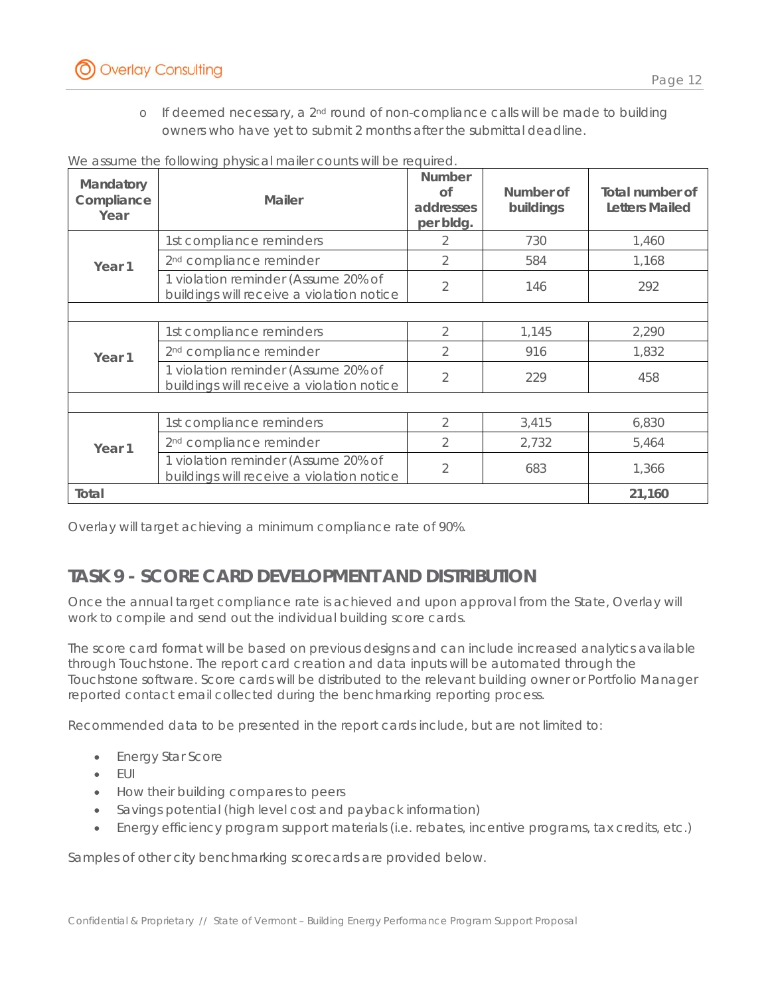

o If deemed necessary, a  $2<sup>nd</sup>$  round of non-compliance calls will be made to building owners who have yet to submit 2 months after the submittal deadline.

| Mandatory<br>Compliance<br>Year | <b>Mailer</b>                                                                    | <b>Number</b><br>Ωf<br>addresses<br>per bldg. | Number of<br>buildings | Total number of<br><b>Letters Mailed</b> |
|---------------------------------|----------------------------------------------------------------------------------|-----------------------------------------------|------------------------|------------------------------------------|
|                                 | 1st compliance reminders                                                         |                                               | 730                    | 1,460                                    |
| Year <sub>1</sub>               | 2 <sup>nd</sup> compliance reminder                                              | $\overline{2}$                                | 584                    | 1,168                                    |
|                                 | 1 violation reminder (Assume 20% of<br>buildings will receive a violation notice | 2                                             | 146                    | 292                                      |
|                                 |                                                                                  |                                               |                        |                                          |
|                                 | 1st compliance reminders                                                         | 2                                             | 1,145                  | 2,290                                    |
| Year <sub>1</sub>               | 2 <sup>nd</sup> compliance reminder                                              | $\mathcal{P}$                                 | 916                    | 1,832                                    |
|                                 | 1 violation reminder (Assume 20% of<br>buildings will receive a violation notice | $\overline{2}$                                | 229                    | 458                                      |
|                                 |                                                                                  |                                               |                        |                                          |
|                                 | 1st compliance reminders                                                         | $\mathcal{P}$                                 | 3,415                  | 6,830                                    |
| Year <sub>1</sub>               | 2 <sup>nd</sup> compliance reminder                                              | 2                                             | 2,732                  | 5,464                                    |
|                                 | 1 violation reminder (Assume 20% of<br>buildings will receive a violation notice | 2                                             | 683                    | 1,366                                    |
| Total                           |                                                                                  |                                               |                        | 21,160                                   |

We assume the following physical mailer counts will be required.

Overlay will target achieving a minimum compliance rate of 90%.

## **TASK 9 - SCORE CARD DEVELOPMENT AND DISTRIBUTION**

Once the annual target compliance rate is achieved and upon approval from the State, Overlay will work to compile and send out the individual building score cards.

The score card format will be based on previous designs and can include increased analytics available through Touchstone. The report card creation and data inputs will be automated through the Touchstone software. Score cards will be distributed to the relevant building owner or Portfolio Manager reported contact email collected during the benchmarking reporting process.

Recommended data to be presented in the report cards include, but are not limited to:

- Energy Star Score
- $\bullet$  FUI
- How their building compares to peers
- Savings potential (high level cost and payback information)
- Energy efficiency program support materials (i.e. rebates, incentive programs, tax credits, etc.)

Samples of other city benchmarking scorecards are provided below.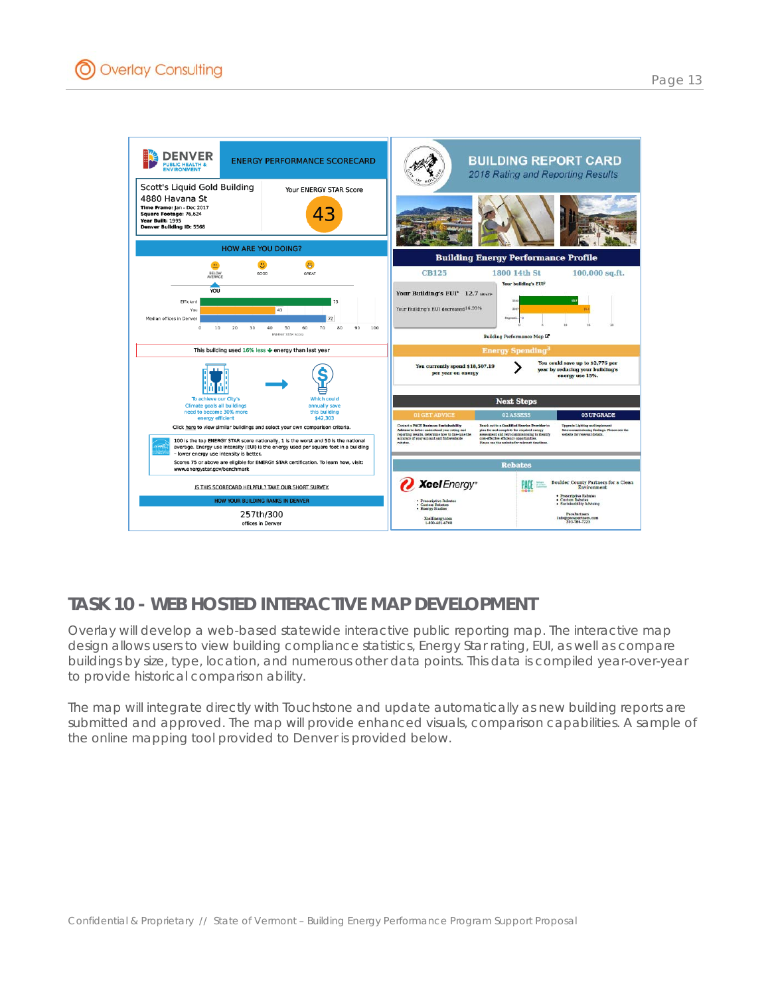

# **TASK 10 - WEB HOSTED INTERACTIVE MAP DEVELOPMENT**

Overlay will develop a web-based statewide interactive public reporting map. The interactive map design allows users to view building compliance statistics, Energy Star rating, EUI, as well as compare buildings by size, type, location, and numerous other data points. This data is compiled year-over-year to provide historical comparison ability.

The map will integrate directly with Touchstone and update automatically as new building reports are submitted and approved. The map will provide enhanced visuals, comparison capabilities. A sample of the online mapping tool provided to Denver is provided below.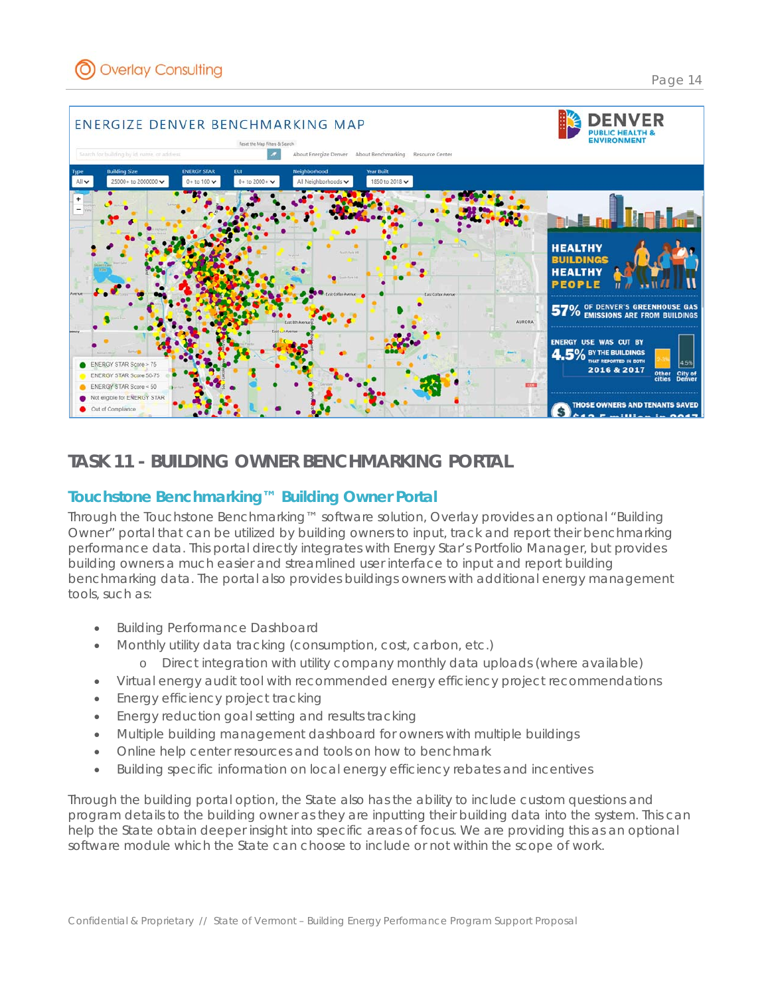ENERGY STAR Score > 75

ENERGY STAR Score 50-75 ENERGY STAR Score < 50 Not eligible for ENERGY STAR

Out of Compliand



## **TASK 11 - BUILDING OWNER BENCHMARKING PORTAL**

## *Touchstone Benchmarking™ Building Owner Portal*

Through the Touchstone Benchmarking™ software solution, Overlay provides an optional "Building Owner" portal that can be utilized by building owners to input, track and report their benchmarking performance data. This portal directly integrates with Energy Star's Portfolio Manager, but provides building owners a much easier and streamlined user interface to input and report building benchmarking data. The portal also provides buildings owners with additional energy management tools, such as:

- Building Performance Dashboard
- Monthly utility data tracking (consumption, cost, carbon, etc.)
	- o Direct integration with utility company monthly data uploads (where available)
- Virtual energy audit tool with recommended energy efficiency project recommendations
- Energy efficiency project tracking
- Energy reduction goal setting and results tracking
- Multiple building management dashboard for owners with multiple buildings
- Online help center resources and tools on how to benchmark
- Building specific information on local energy efficiency rebates and incentives

Through the building portal option, the State also has the ability to include custom questions and program details to the building owner as they are inputting their building data into the system. This can help the State obtain deeper insight into specific areas of focus. We are providing this as an optional software module which the State can choose to include or not within the scope of work.

4.5% BY THE BUILDINGS

2016 & 2017

THOSE OWNERS AND TENANTS SAVED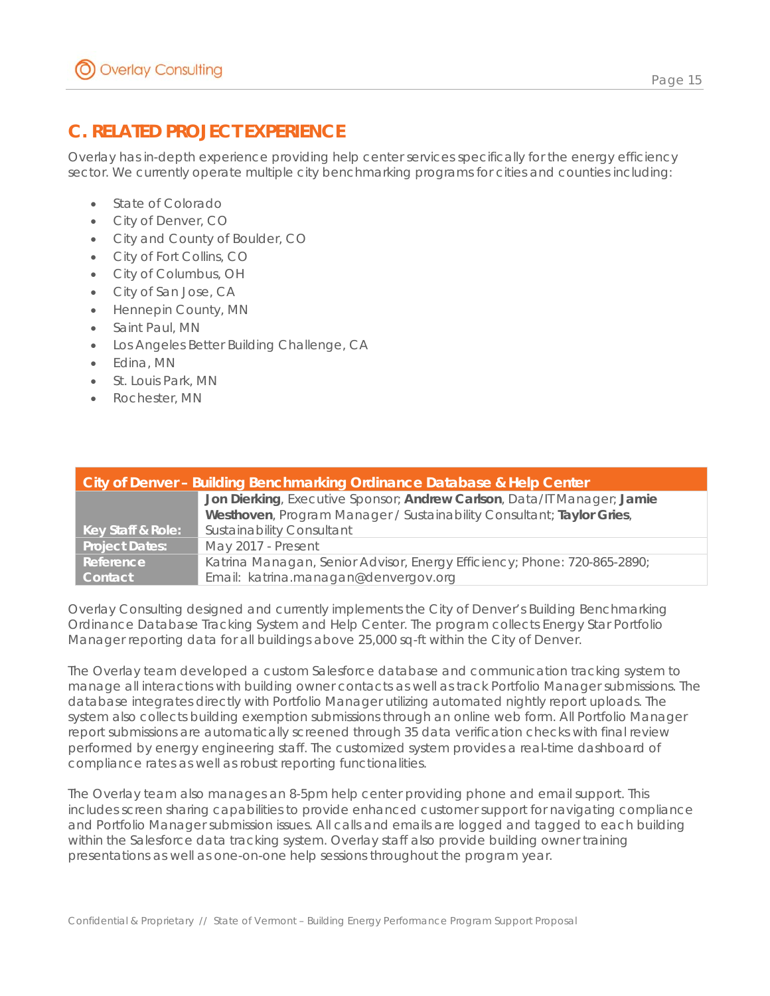# **C. RELATED PROJECT EXPERIENCE**

Overlay has in-depth experience providing help center services specifically for the energy efficiency sector. We currently operate multiple city benchmarking programs for cities and counties including:

- State of Colorado
- City of Denver, CO
- City and County of Boulder, CO
- City of Fort Collins, CO
- City of Columbus, OH
- City of San Jose, CA
- Hennepin County, MN
- Saint Paul, MN
- Los Angeles Better Building Challenge, CA
- Edina, MN
- St. Louis Park, MN
- Rochester, MN

| City of Denver - Building Benchmarking Ordinance Database & Help Center |                                                                          |  |  |  |  |  |  |  |
|-------------------------------------------------------------------------|--------------------------------------------------------------------------|--|--|--|--|--|--|--|
|                                                                         | Jon Dierking, Executive Sponsor; Andrew Carlson, Data/IT Manager; Jamie  |  |  |  |  |  |  |  |
|                                                                         | Westhoven, Program Manager / Sustainability Consultant; Taylor Gries,    |  |  |  |  |  |  |  |
| Key Staff & Role:                                                       | Sustainability Consultant                                                |  |  |  |  |  |  |  |
| <b>Project Dates:</b>                                                   | May 2017 - Present                                                       |  |  |  |  |  |  |  |
| Reference                                                               | Katrina Managan, Senior Advisor, Energy Efficiency; Phone: 720-865-2890; |  |  |  |  |  |  |  |
| Contact                                                                 | Email: katrina.managan@denvergov.org                                     |  |  |  |  |  |  |  |

Overlay Consulting designed and currently implements the City of Denver's Building Benchmarking Ordinance Database Tracking System and Help Center. The program collects Energy Star Portfolio Manager reporting data for all buildings above 25,000 sq-ft within the City of Denver.

The Overlay team developed a custom Salesforce database and communication tracking system to manage all interactions with building owner contacts as well as track Portfolio Manager submissions. The database integrates directly with Portfolio Manager utilizing automated nightly report uploads. The system also collects building exemption submissions through an online web form. All Portfolio Manager report submissions are automatically screened through 35 data verification checks with final review performed by energy engineering staff. The customized system provides a real-time dashboard of compliance rates as well as robust reporting functionalities.

The Overlay team also manages an 8-5pm help center providing phone and email support. This includes screen sharing capabilities to provide enhanced customer support for navigating compliance and Portfolio Manager submission issues. All calls and emails are logged and tagged to each building within the Salesforce data tracking system. Overlay staff also provide building owner training presentations as well as one-on-one help sessions throughout the program year.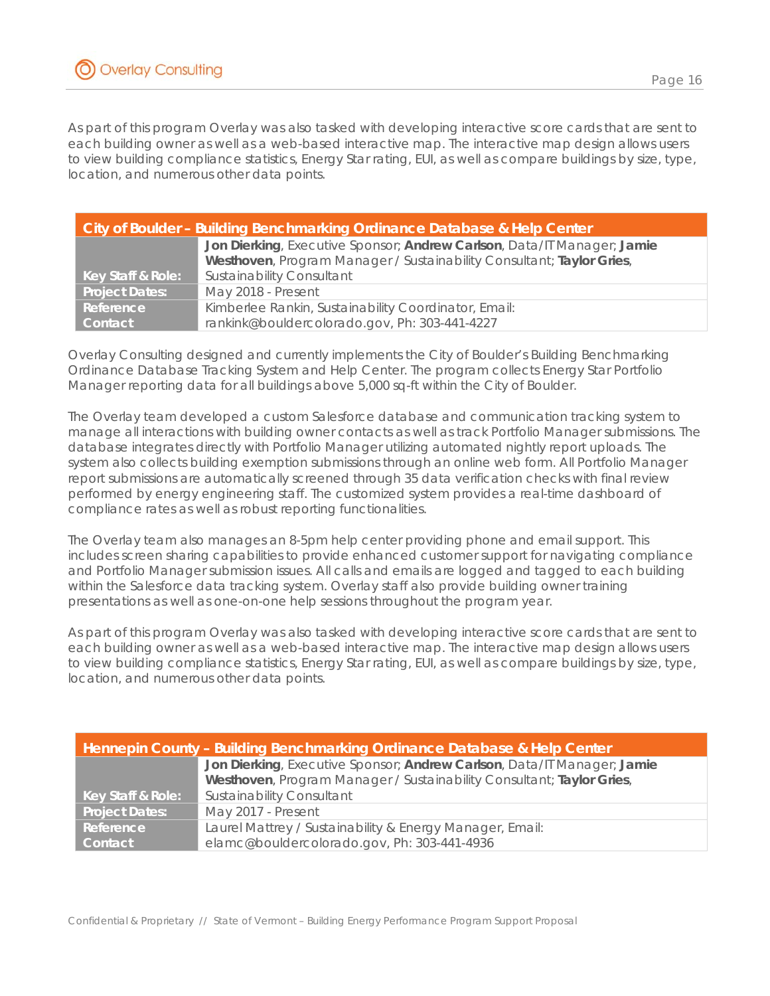As part of this program Overlay was also tasked with developing interactive score cards that are sent to each building owner as well as a web-based interactive map. The interactive map design allows users to view building compliance statistics, Energy Star rating, EUI, as well as compare buildings by size, type, location, and numerous other data points.

| <b>City of Boulder - Building Benchmarking Ordinance Database &amp; Help Center</b> |                                                                         |  |  |  |  |  |  |  |
|-------------------------------------------------------------------------------------|-------------------------------------------------------------------------|--|--|--|--|--|--|--|
|                                                                                     | Jon Dierking, Executive Sponsor; Andrew Carlson, Data/IT Manager; Jamie |  |  |  |  |  |  |  |
|                                                                                     | Westhoven, Program Manager / Sustainability Consultant; Taylor Gries,   |  |  |  |  |  |  |  |
| Key Staff & Role:                                                                   | <b>Sustainability Consultant</b>                                        |  |  |  |  |  |  |  |
| <b>Project Dates:</b>                                                               | May 2018 - Present                                                      |  |  |  |  |  |  |  |
| Reference                                                                           | Kimberlee Rankin, Sustainability Coordinator, Email:                    |  |  |  |  |  |  |  |
| <b>Contact</b>                                                                      | rankink@bouldercolorado.gov, Ph: 303-441-4227                           |  |  |  |  |  |  |  |

Overlay Consulting designed and currently implements the City of Boulder's Building Benchmarking Ordinance Database Tracking System and Help Center. The program collects Energy Star Portfolio Manager reporting data for all buildings above 5,000 sq-ft within the City of Boulder.

The Overlay team developed a custom Salesforce database and communication tracking system to manage all interactions with building owner contacts as well as track Portfolio Manager submissions. The database integrates directly with Portfolio Manager utilizing automated nightly report uploads. The system also collects building exemption submissions through an online web form. All Portfolio Manager report submissions are automatically screened through 35 data verification checks with final review performed by energy engineering staff. The customized system provides a real-time dashboard of compliance rates as well as robust reporting functionalities.

The Overlay team also manages an 8-5pm help center providing phone and email support. This includes screen sharing capabilities to provide enhanced customer support for navigating compliance and Portfolio Manager submission issues. All calls and emails are logged and tagged to each building within the Salesforce data tracking system. Overlay staff also provide building owner training presentations as well as one-on-one help sessions throughout the program year.

As part of this program Overlay was also tasked with developing interactive score cards that are sent to each building owner as well as a web-based interactive map. The interactive map design allows users to view building compliance statistics, Energy Star rating, EUI, as well as compare buildings by size, type, location, and numerous other data points.

|                       | Hennepin County - Building Benchmarking Ordinance Database & Help Center |
|-----------------------|--------------------------------------------------------------------------|
|                       | Jon Dierking, Executive Sponsor; Andrew Carlson, Data/IT Manager; Jamie  |
|                       | Westhoven, Program Manager / Sustainability Consultant; Taylor Gries,    |
| Key Staff & Role:     | <b>Sustainability Consultant</b>                                         |
| <b>Project Dates:</b> | May 2017 - Present                                                       |
| Reference             | Laurel Mattrey / Sustainability & Energy Manager, Email:                 |
| Contact               | elamc@bouldercolorado.gov, Ph: 303-441-4936                              |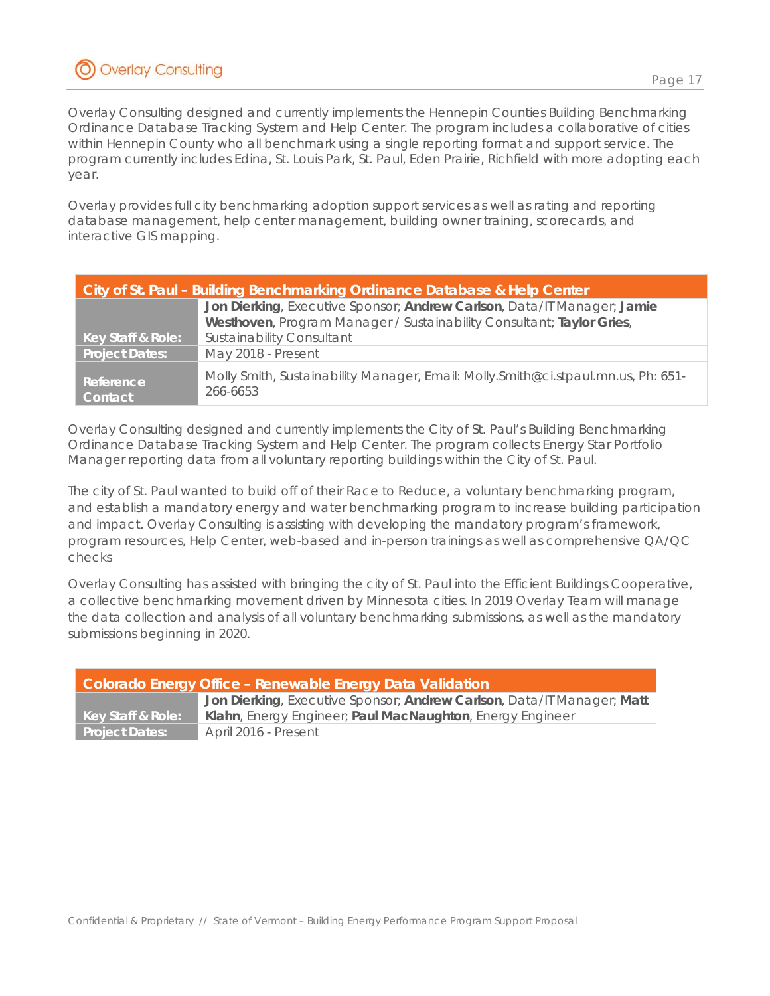Overlay Consulting designed and currently implements the Hennepin Counties Building Benchmarking Ordinance Database Tracking System and Help Center. The program includes a collaborative of cities within Hennepin County who all benchmark using a single reporting format and support service. The program currently includes Edina, St. Louis Park, St. Paul, Eden Prairie, Richfield with more adopting each year.

Overlay provides full city benchmarking adoption support services as well as rating and reporting database management, help center management, building owner training, scorecards, and interactive GIS mapping.

| City of St. Paul – Building Benchmarking Ordinance Database & Help Center |                                                                                                |  |  |  |  |  |  |  |
|---------------------------------------------------------------------------|------------------------------------------------------------------------------------------------|--|--|--|--|--|--|--|
|                                                                           | Jon Dierking, Executive Sponsor; Andrew Carlson, Data/IT Manager; Jamie                        |  |  |  |  |  |  |  |
|                                                                           | Westhoven, Program Manager / Sustainability Consultant; Taylor Gries,                          |  |  |  |  |  |  |  |
| Key Staff & Role:                                                         | Sustainability Consultant                                                                      |  |  |  |  |  |  |  |
| <b>Project Dates:</b>                                                     | May 2018 - Present                                                                             |  |  |  |  |  |  |  |
| Reference<br>Contact                                                      | Molly Smith, Sustainability Manager, Email: Molly. Smith@ci.stpaul.mn.us, Ph: 651-<br>266-6653 |  |  |  |  |  |  |  |

Overlay Consulting designed and currently implements the City of St. Paul's Building Benchmarking Ordinance Database Tracking System and Help Center. The program collects Energy Star Portfolio Manager reporting data from all voluntary reporting buildings within the City of St. Paul.

The city of St. Paul wanted to build off of their Race to Reduce, a voluntary benchmarking program, and establish a mandatory energy and water benchmarking program to increase building participation and impact. Overlay Consulting is assisting with developing the mandatory program's framework, program resources, Help Center, web-based and in-person trainings as well as comprehensive QA/QC checks

Overlay Consulting has assisted with bringing the city of St. Paul into the Efficient Buildings Cooperative, a collective benchmarking movement driven by Minnesota cities. In 2019 Overlay Team will manage the data collection and analysis of all voluntary benchmarking submissions, as well as the mandatory submissions beginning in 2020.

| Colorado Energy Office - Renewable Energy Data Validation |                                                                        |  |  |  |  |  |  |  |
|-----------------------------------------------------------|------------------------------------------------------------------------|--|--|--|--|--|--|--|
|                                                           | Jon Dierking, Executive Sponsor; Andrew Carlson, Data/IT Manager; Matt |  |  |  |  |  |  |  |
| Key Staff & Role:                                         | Klahn, Energy Engineer; Paul MacNaughton, Energy Engineer              |  |  |  |  |  |  |  |
| <b>Project Dates:</b>                                     | April 2016 - Present                                                   |  |  |  |  |  |  |  |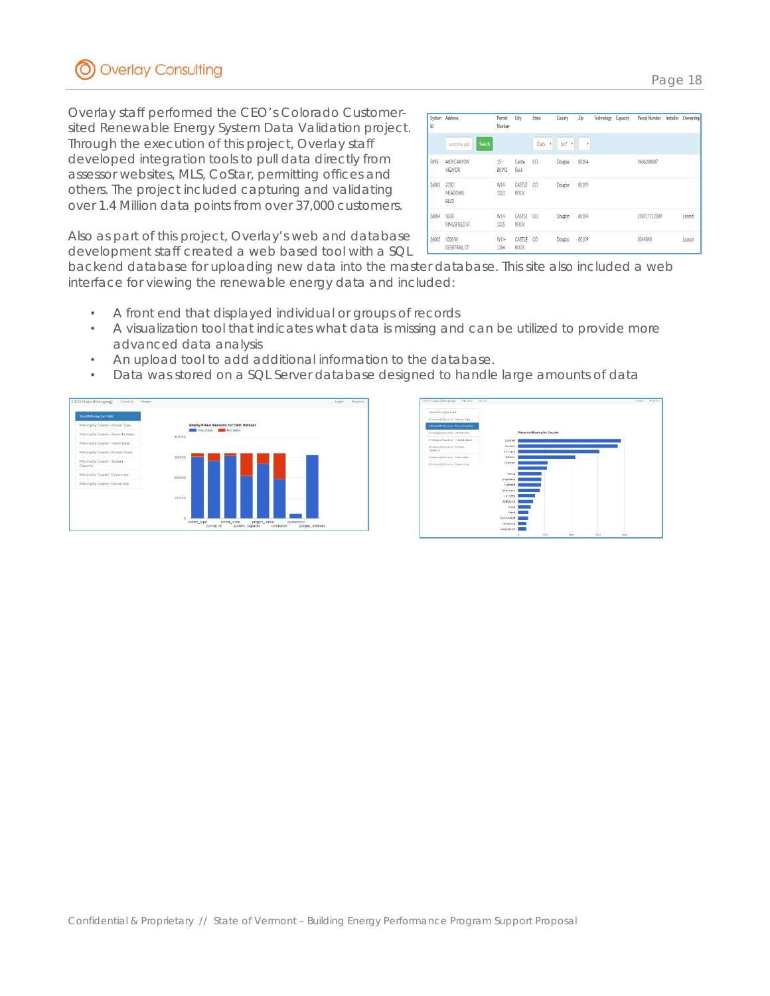

Overlay staff performed the CEO's Colorado Customersited Renewable Energy System Data Validation project. Through the execution of this project, Overlay staff developed integration tools to pull data directly from assessor websites, MLS, CoStar, permitting offices and others. The project included capturing and validating over 1.4 Million data points from over 37,000 customers.

| System<br>Id | Address                               | Permit<br>Number      | City                         | State           | County         | Zip   | Technology | Capacity | <b>Parcel Number</b> | Installer | Ownership |
|--------------|---------------------------------------|-----------------------|------------------------------|-----------------|----------------|-------|------------|----------|----------------------|-----------|-----------|
|              | Search<br>search by add               |                       |                              | Castle <b>T</b> | by C<br>۲      | ٧     |            |          |                      |           |           |
| 5895         | 4609 CANYON<br><b>VIEW DR</b>         | $15-$<br><b>B0392</b> | Castle<br>Rock               | $^{c}$          | Douglas        | 80104 |            |          | 9606208007           |           |           |
| 26003        | 2350<br><b>MEADOWS</b><br><b>BLVD</b> | W14-<br>1321          | CASTLE<br><b>ROCK</b>        | $\infty$        | <b>Douglas</b> | 80109 |            |          |                      |           |           |
| 26004        | 5838<br><b>KINGSFIELD ST</b>          | W14-<br>1325          | CASTLE<br><b>ROCK</b>        | CO.             | <b>Douglas</b> | 80104 |            |          | 250717112009         |           | Leased    |
| 26005        | 4306W<br><b>DEERTRAIL CT</b>          | W14<br>1384           | <b>CASTLE</b><br><b>ROCK</b> | CO.             | <b>Douglas</b> | 80109 |            |          | 0344040              |           | Leased    |

Also as part of this project, Overlay's web and database development staff created a web based tool with a SQL

backend database for uploading new data into the master database. This site also included a web interface for viewing the renewable energy data and included:

- A front end that displayed individual or groups of records
- A visualization tool that indicates what data is missing and can be utilized to provide more advanced data analysis
- An upload tool to add additional information to the database.
- Data was stored on a SQL Server database designed to handle large amounts of data





Confidential & Proprietary // State of Vermont – Building Energy Performance Program Support Proposal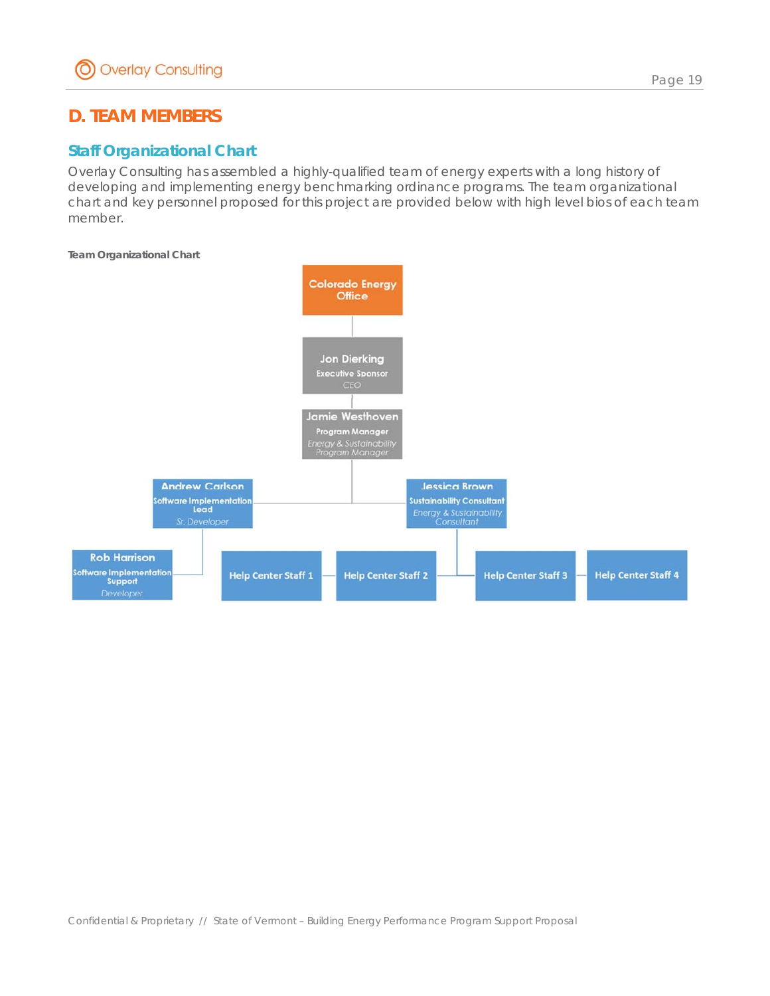# **D. TEAM MEMBERS**

## *Staff Organizational Chart*

Overlay Consulting has assembled a highly-qualified team of energy experts with a long history of developing and implementing energy benchmarking ordinance programs. The team organizational chart and key personnel proposed for this project are provided below with high level bios of each team member.

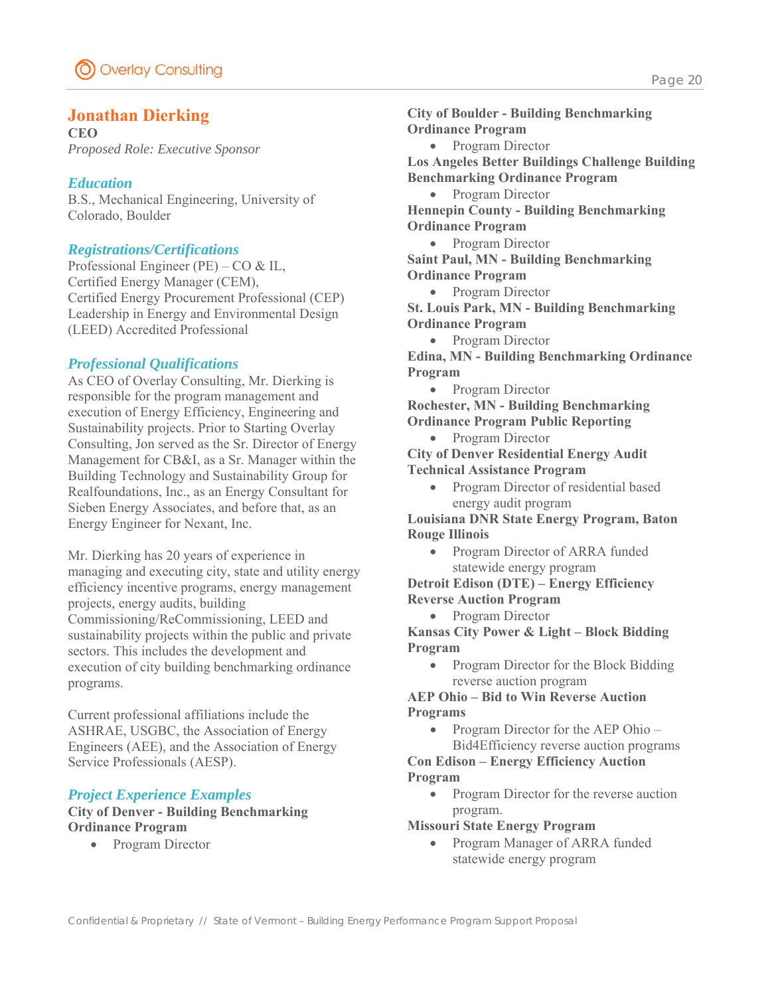## **Jonathan Dierking**

**CEO**  *Proposed Role: Executive Sponsor* 

### *Education*

B.S., Mechanical Engineering, University of Colorado, Boulder

#### *Registrations/Certifications*

Professional Engineer (PE) – CO & IL, Certified Energy Manager (CEM), Certified Energy Procurement Professional (CEP) Leadership in Energy and Environmental Design (LEED) Accredited Professional

### *Professional Qualifications*

As CEO of Overlay Consulting, Mr. Dierking is responsible for the program management and execution of Energy Efficiency, Engineering and Sustainability projects. Prior to Starting Overlay Consulting, Jon served as the Sr. Director of Energy Management for CB&I, as a Sr. Manager within the Building Technology and Sustainability Group for Realfoundations, Inc., as an Energy Consultant for Sieben Energy Associates, and before that, as an Energy Engineer for Nexant, Inc.

Mr. Dierking has 20 years of experience in managing and executing city, state and utility energy efficiency incentive programs, energy management projects, energy audits, building Commissioning/ReCommissioning, LEED and sustainability projects within the public and private sectors. This includes the development and execution of city building benchmarking ordinance programs.

Current professional affiliations include the ASHRAE, USGBC, the Association of Energy Engineers (AEE), and the Association of Energy Service Professionals (AESP).

## *Project Experience Examples*

**City of Denver - Building Benchmarking Ordinance Program** 

• Program Director

**City of Boulder - Building Benchmarking Ordinance Program**  • Program Director **Los Angeles Better Buildings Challenge Building Benchmarking Ordinance Program** 

• Program Director

**Hennepin County - Building Benchmarking Ordinance Program** 

• Program Director **Saint Paul, MN - Building Benchmarking Ordinance Program** 

Program Director

**St. Louis Park, MN - Building Benchmarking Ordinance Program** 

• Program Director

**Edina, MN - Building Benchmarking Ordinance Program** 

• Program Director

**Rochester, MN - Building Benchmarking Ordinance Program Public Reporting** 

Program Director

**City of Denver Residential Energy Audit Technical Assistance Program** 

• Program Director of residential based energy audit program

**Louisiana DNR State Energy Program, Baton Rouge Illinois** 

• Program Director of ARRA funded statewide energy program

**Detroit Edison (DTE) – Energy Efficiency Reverse Auction Program** 

• Program Director

**Kansas City Power & Light – Block Bidding Program** 

• Program Director for the Block Bidding reverse auction program

**AEP Ohio – Bid to Win Reverse Auction Programs** 

• Program Director for the AEP Ohio – Bid4Efficiency reverse auction programs

**Con Edison – Energy Efficiency Auction Program**

• Program Director for the reverse auction program.

**Missouri State Energy Program** 

• Program Manager of ARRA funded statewide energy program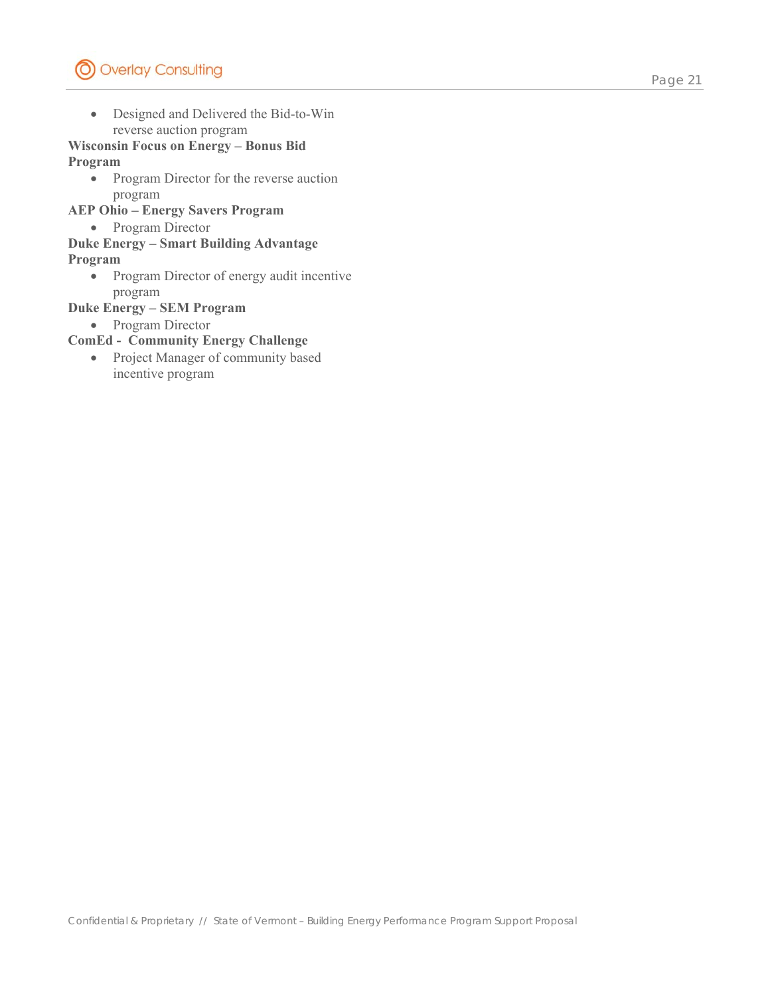Designed and Delivered the Bid-to-Win reverse auction program

#### **Wisconsin Focus on Energy – Bonus Bid Program**

- Program Director for the reverse auction program
- **AEP Ohio Energy Savers Program**
	- Program Director
- **Duke Energy Smart Building Advantage**

### **Program**

• Program Director of energy audit incentive program

### **Duke Energy – SEM Program**

• Program Director

#### **ComEd - Community Energy Challenge**

• Project Manager of community based incentive program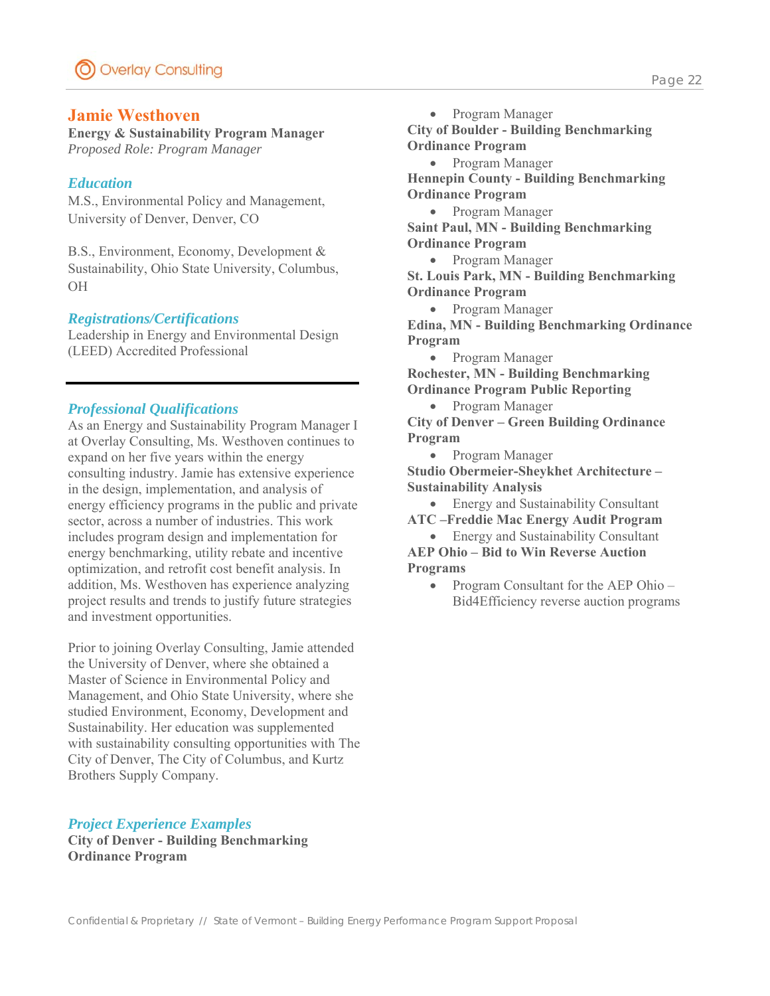#### **Jamie Westhoven**

**Energy & Sustainability Program Manager** *Proposed Role: Program Manager*

#### *Education*

M.S., Environmental Policy and Management, University of Denver, Denver, CO

B.S., Environment, Economy, Development & Sustainability, Ohio State University, Columbus, OH

#### *Registrations/Certifications*

Leadership in Energy and Environmental Design (LEED) Accredited Professional

#### *Professional Qualifications*

As an Energy and Sustainability Program Manager I at Overlay Consulting, Ms. Westhoven continues to expand on her five years within the energy consulting industry. Jamie has extensive experience in the design, implementation, and analysis of energy efficiency programs in the public and private sector, across a number of industries. This work includes program design and implementation for energy benchmarking, utility rebate and incentive optimization, and retrofit cost benefit analysis. In addition, Ms. Westhoven has experience analyzing project results and trends to justify future strategies and investment opportunities.

Prior to joining Overlay Consulting, Jamie attended the University of Denver, where she obtained a Master of Science in Environmental Policy and Management, and Ohio State University, where she studied Environment, Economy, Development and Sustainability. Her education was supplemented with sustainability consulting opportunities with The City of Denver, The City of Columbus, and Kurtz Brothers Supply Company.

#### *Project Experience Examples*

**City of Denver - Building Benchmarking Ordinance Program** 

**City of Boulder - Building Benchmarking Ordinance Program** 

 Program Manager **Hennepin County - Building Benchmarking Ordinance Program** 

Program Manager

**Saint Paul, MN - Building Benchmarking Ordinance Program** 

• Program Manager

**St. Louis Park, MN - Building Benchmarking Ordinance Program** 

• Program Manager

**Edina, MN - Building Benchmarking Ordinance Program** 

• Program Manager

**Rochester, MN - Building Benchmarking Ordinance Program Public Reporting** 

• Program Manager

**City of Denver – Green Building Ordinance Program** 

Program Manager

**Studio Obermeier-Sheykhet Architecture – Sustainability Analysis** 

• Energy and Sustainability Consultant

**ATC –Freddie Mac Energy Audit Program** 

- Energy and Sustainability Consultant **AEP Ohio – Bid to Win Reverse Auction**
- **Programs**  • Program Consultant for the AEP Ohio –

Bid4Efficiency reverse auction programs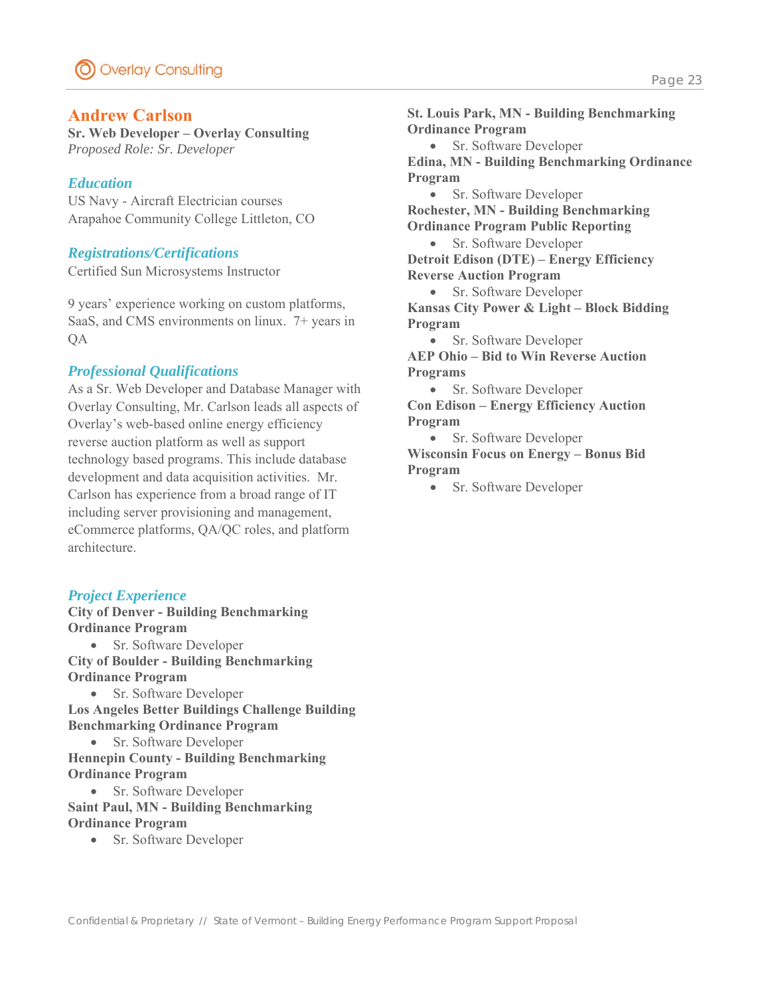### **Andrew Carlson**

**Sr. Web Developer – Overlay Consulting**  *Proposed Role: Sr. Developer* 

#### *Education*

US Navy - Aircraft Electrician courses Arapahoe Community College Littleton, CO

#### *Registrations/Certifications*

Certified Sun Microsystems Instructor

9 years' experience working on custom platforms, SaaS, and CMS environments on linux. 7+ years in QA

#### *Professional Qualifications*

As a Sr. Web Developer and Database Manager with Overlay Consulting, Mr. Carlson leads all aspects of Overlay's web-based online energy efficiency reverse auction platform as well as support technology based programs. This include database development and data acquisition activities. Mr. Carlson has experience from a broad range of IT including server provisioning and management, eCommerce platforms, QA/QC roles, and platform architecture.

#### *Project Experience*

**City of Denver - Building Benchmarking Ordinance Program** 

• Sr. Software Developer **City of Boulder - Building Benchmarking Ordinance Program** 

• Sr. Software Developer **Los Angeles Better Buildings Challenge Building Benchmarking Ordinance Program** 

Sr. Software Developer

**Hennepin County - Building Benchmarking Ordinance Program** 

• Sr. Software Developer **Saint Paul, MN - Building Benchmarking Ordinance Program** 

• Sr. Software Developer

**St. Louis Park, MN - Building Benchmarking Ordinance Program**  • Sr. Software Developer **Edina, MN - Building Benchmarking Ordinance Program**  • Sr. Software Developer **Rochester, MN - Building Benchmarking Ordinance Program Public Reporting**  • Sr. Software Developer **Detroit Edison (DTE) – Energy Efficiency Reverse Auction Program**  • Sr. Software Developer **Kansas City Power & Light – Block Bidding Program**  • Sr. Software Developer **AEP Ohio – Bid to Win Reverse Auction Programs**  • Sr. Software Developer **Con Edison – Energy Efficiency Auction** 

**Program** 

• Sr. Software Developer

**Wisconsin Focus on Energy – Bonus Bid Program** 

• Sr. Software Developer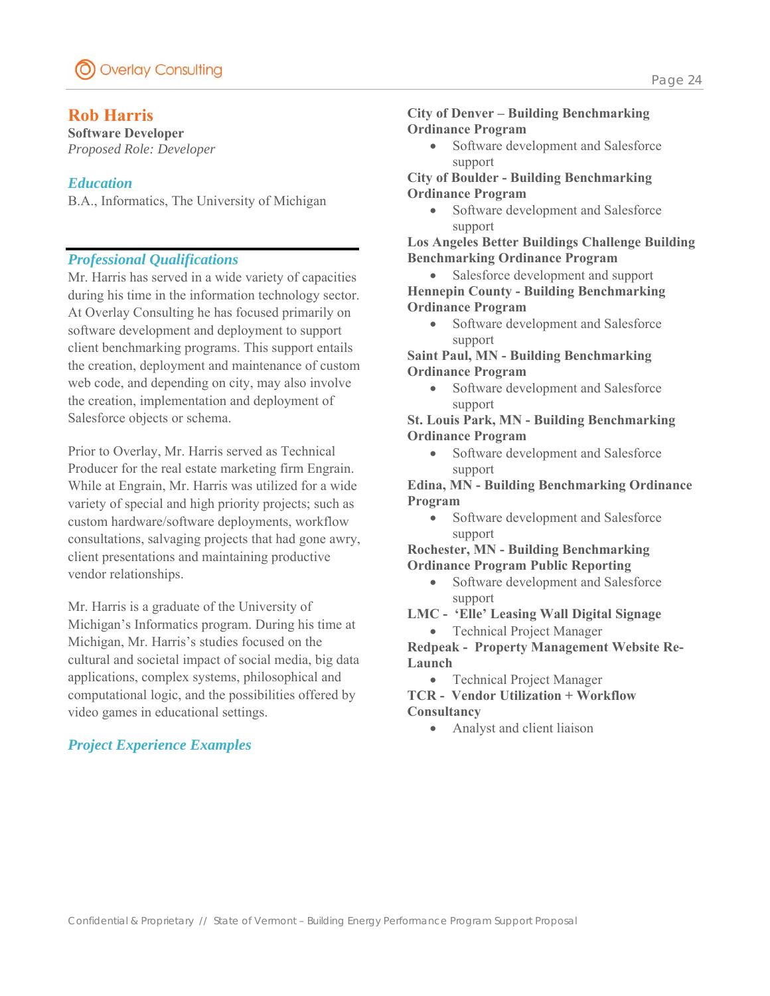## **Rob Harris**

**Software Developer**  *Proposed Role: Developer* 

### *Education*

B.A., Informatics, The University of Michigan

## *Professional Qualifications*

Mr. Harris has served in a wide variety of capacities during his time in the information technology sector. At Overlay Consulting he has focused primarily on software development and deployment to support client benchmarking programs. This support entails the creation, deployment and maintenance of custom web code, and depending on city, may also involve the creation, implementation and deployment of Salesforce objects or schema.

Prior to Overlay, Mr. Harris served as Technical Producer for the real estate marketing firm Engrain. While at Engrain, Mr. Harris was utilized for a wide variety of special and high priority projects; such as custom hardware/software deployments, workflow consultations, salvaging projects that had gone awry, client presentations and maintaining productive vendor relationships.

Mr. Harris is a graduate of the University of Michigan's Informatics program. During his time at Michigan, Mr. Harris's studies focused on the cultural and societal impact of social media, big data applications, complex systems, philosophical and computational logic, and the possibilities offered by video games in educational settings.

## *Project Experience Examples*

#### **City of Denver – Building Benchmarking Ordinance Program**

 Software development and Salesforce support

**City of Boulder - Building Benchmarking Ordinance Program** 

 Software development and Salesforce support

**Los Angeles Better Buildings Challenge Building Benchmarking Ordinance Program** 

 Salesforce development and support **Hennepin County - Building Benchmarking Ordinance Program** 

• Software development and Salesforce support

**Saint Paul, MN - Building Benchmarking Ordinance Program** 

 Software development and Salesforce support

**St. Louis Park, MN - Building Benchmarking Ordinance Program** 

• Software development and Salesforce support

**Edina, MN - Building Benchmarking Ordinance Program** 

• Software development and Salesforce support

**Rochester, MN - Building Benchmarking Ordinance Program Public Reporting** 

• Software development and Salesforce support

**LMC - 'Elle' Leasing Wall Digital Signage** 

Technical Project Manager

**Redpeak - Property Management Website Re-Launch** 

Technical Project Manager

**TCR - Vendor Utilization + Workflow Consultancy** 

Analyst and client liaison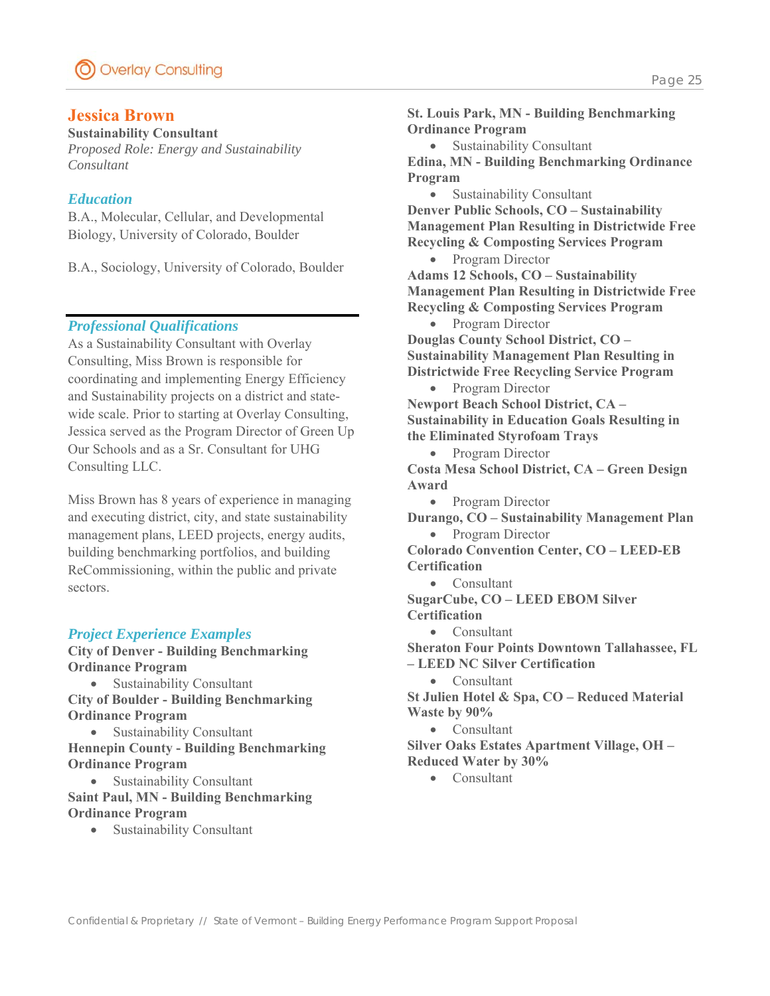### **Jessica Brown**

#### **Sustainability Consultant**

*Proposed Role: Energy and Sustainability Consultant* 

#### *Education*

B.A., Molecular, Cellular, and Developmental Biology, University of Colorado, Boulder

B.A., Sociology, University of Colorado, Boulder

#### *Professional Qualifications*

As a Sustainability Consultant with Overlay Consulting, Miss Brown is responsible for coordinating and implementing Energy Efficiency and Sustainability projects on a district and statewide scale. Prior to starting at Overlay Consulting, Jessica served as the Program Director of Green Up Our Schools and as a Sr. Consultant for UHG Consulting LLC.

Miss Brown has 8 years of experience in managing and executing district, city, and state sustainability management plans, LEED projects, energy audits, building benchmarking portfolios, and building ReCommissioning, within the public and private sectors.

#### *Project Experience Examples*

**City of Denver - Building Benchmarking Ordinance Program** 

Sustainability Consultant

**City of Boulder - Building Benchmarking Ordinance Program** 

 Sustainability Consultant **Hennepin County - Building Benchmarking Ordinance Program** 

 Sustainability Consultant **Saint Paul, MN - Building Benchmarking Ordinance Program** 

Sustainability Consultant

**St. Louis Park, MN - Building Benchmarking Ordinance Program** 

Sustainability Consultant

**Edina, MN - Building Benchmarking Ordinance Program** 

Sustainability Consultant

**Denver Public Schools, CO – Sustainability Management Plan Resulting in Districtwide Free Recycling & Composting Services Program** 

- Program Director **Adams 12 Schools, CO – Sustainability Management Plan Resulting in Districtwide Free Recycling & Composting Services Program** 
	- Program Director

**Douglas County School District, CO – Sustainability Management Plan Resulting in Districtwide Free Recycling Service Program** 

• Program Director **Newport Beach School District, CA – Sustainability in Education Goals Resulting in the Eliminated Styrofoam Trays** 

• Program Director **Costa Mesa School District, CA – Green Design Award** 

- Program Director
- **Durango, CO Sustainability Management Plan**

• Program Director **Colorado Convention Center, CO – LEED-EB Certification** 

- Consultant
- **SugarCube, CO LEED EBOM Silver Certification** 
	- Consultant

**Sheraton Four Points Downtown Tallahassee, FL – LEED NC Silver Certification** 

• Consultant

**St Julien Hotel & Spa, CO – Reduced Material Waste by 90%** 

Consultant

**Silver Oaks Estates Apartment Village, OH – Reduced Water by 30%** 

Consultant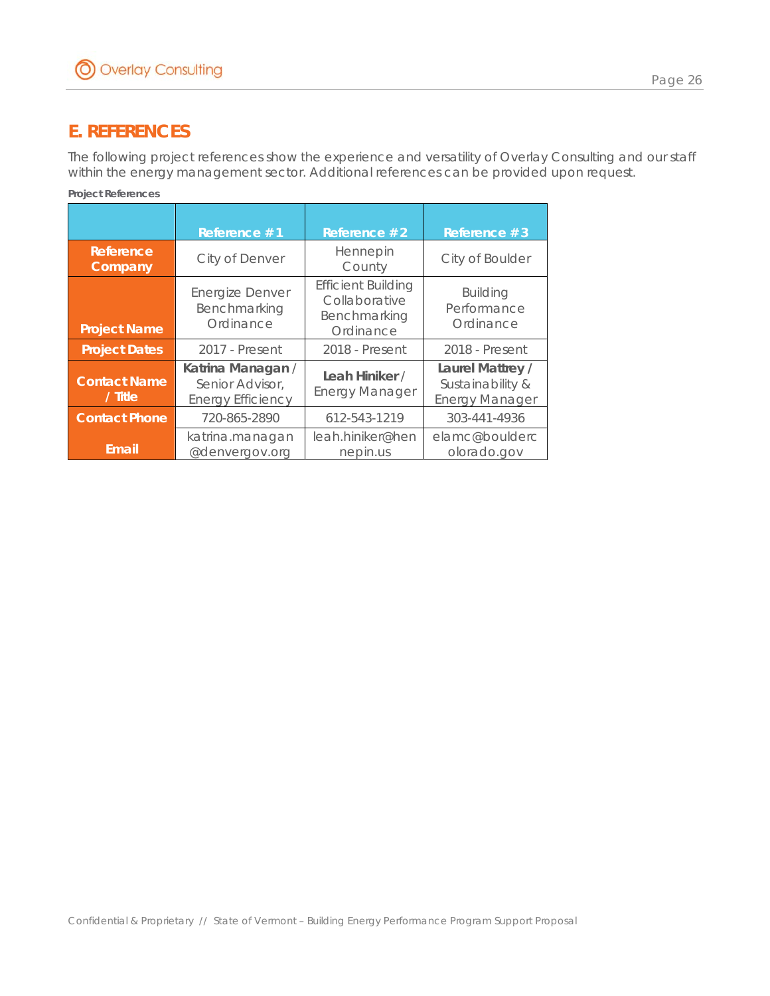# **E. REFERENCES**

The following project references show the experience and versatility of Overlay Consulting and our staff within the energy management sector. Additional references can be provided upon request.

| <i>Project References</i>      |                                                                  |                                                                         |                                                               |  |  |
|--------------------------------|------------------------------------------------------------------|-------------------------------------------------------------------------|---------------------------------------------------------------|--|--|
|                                | Reference #1                                                     | Reference #2                                                            | Reference #3                                                  |  |  |
| Reference<br>Company           | City of Denver                                                   | Hennepin<br>County                                                      | City of Boulder                                               |  |  |
| <b>Project Name</b>            | <b>Energize Denver</b><br>Benchmarking<br>Ordinance              | <b>Efficient Building</b><br>Collaborative<br>Benchmarking<br>Ordinance | <b>Building</b><br>Performance<br>Ordinance                   |  |  |
| <b>Project Dates</b>           | 2017 - Present                                                   | 2018 - Present                                                          | 2018 - Present                                                |  |  |
| <b>Contact Name</b><br>/ Title | Katrina Managan /<br>Senior Advisor,<br><b>Energy Efficiency</b> | Leah Hiniker /<br><b>Energy Manager</b>                                 | Laurel Mattrey /<br>Sustainability &<br><b>Energy Manager</b> |  |  |
| <b>Contact Phone</b>           | 720-865-2890                                                     | 612-543-1219                                                            | 303-441-4936                                                  |  |  |
| <b>Email</b>                   | katrina.managan<br>@denvergov.org                                | leah.hiniker@hen<br>nepin.us                                            | elamc@boulderc<br>olorado.gov                                 |  |  |

*Project References*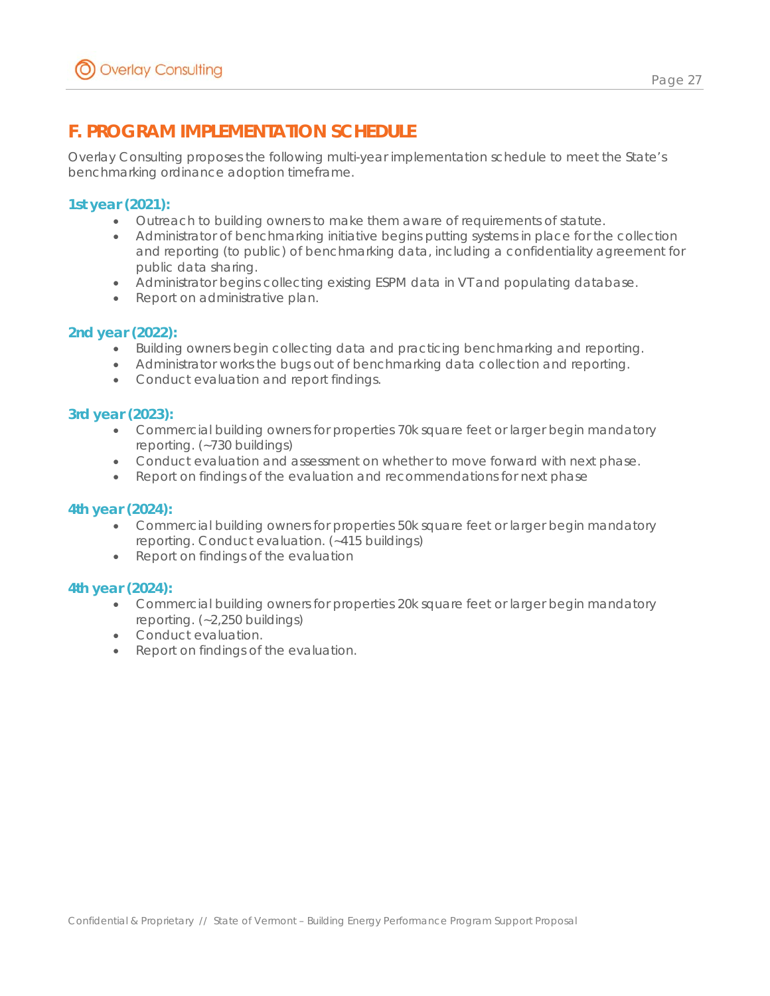# **F. PROGRAM IMPLEMENTATION SCHEDULE**

Overlay Consulting proposes the following multi-year implementation schedule to meet the State's benchmarking ordinance adoption timeframe.

### **1st year (2021):**

- Outreach to building owners to make them aware of requirements of statute.
- Administrator of benchmarking initiative begins putting systems in place for the collection and reporting (to public) of benchmarking data, including a confidentiality agreement for public data sharing.
- Administrator begins collecting existing ESPM data in VT and populating database.
- Report on administrative plan.

#### **2nd year (2022):**

- Building owners begin collecting data and practicing benchmarking and reporting.
- Administrator works the bugs out of benchmarking data collection and reporting.
- Conduct evaluation and report findings.

#### **3rd year (2023):**

- Commercial building owners for properties 70k square feet or larger begin mandatory reporting. (~730 buildings)
- Conduct evaluation and assessment on whether to move forward with next phase.
- Report on findings of the evaluation and recommendations for next phase

#### **4th year (2024):**

- Commercial building owners for properties 50k square feet or larger begin mandatory reporting. Conduct evaluation. (~415 buildings)
- Report on findings of the evaluation

#### **4th year (2024):**

- Commercial building owners for properties 20k square feet or larger begin mandatory reporting. (~2,250 buildings)
- Conduct evaluation.
- Report on findings of the evaluation.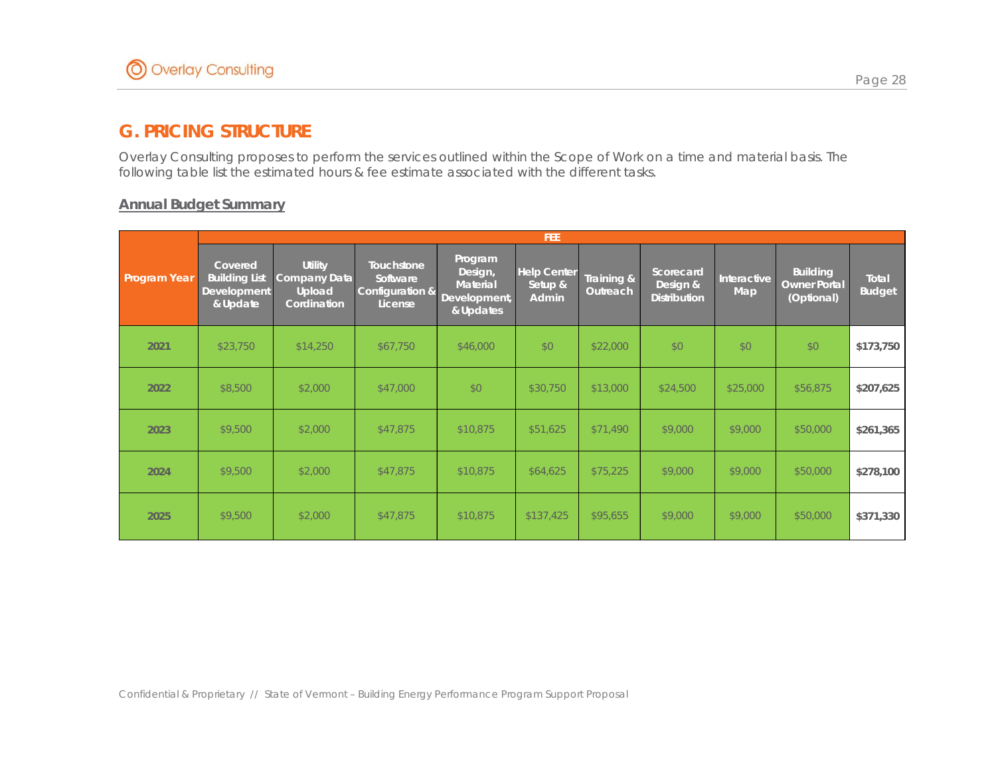# **G. PRICING STRUCTURE**

Overlay Consulting proposes to perform the services outlined within the Scope of Work on a time and material basis. The following table list the estimated hours & fee estimate associated with the different tasks.

#### **Annual Budget Summary**

|                     | <b>FEE</b>                                                        |                                                                       |                                                             |                                                                    |                                               |                               |                                              |                           |                                                      |                               |  |  |
|---------------------|-------------------------------------------------------------------|-----------------------------------------------------------------------|-------------------------------------------------------------|--------------------------------------------------------------------|-----------------------------------------------|-------------------------------|----------------------------------------------|---------------------------|------------------------------------------------------|-------------------------------|--|--|
| <b>Program Year</b> | Covered<br><b>Building List</b><br><b>Development</b><br>& Update | <b>Utility</b><br>Company Data<br><b>Upload</b><br><b>Cordination</b> | <b>Touchstone</b><br>Software<br>Configuration &<br>License | Program<br>Design,<br><b>Material</b><br>Development,<br>& Updates | <b>Help Center</b><br>Setup &<br><b>Admin</b> | Training &<br><b>Outreach</b> | Scorecard<br>Design &<br><b>Distribution</b> | <b>Interactive</b><br>Map | <b>Building</b><br><b>Owner Portal</b><br>(Optional) | <b>Total</b><br><b>Budget</b> |  |  |
| 2021                | \$23,750                                                          | \$14,250                                                              | \$67,750                                                    | \$46,000                                                           | \$0                                           | \$22,000                      | \$0                                          | \$0                       | \$0                                                  | \$173,750                     |  |  |
| 2022                | \$8,500                                                           | \$2,000                                                               | \$47,000                                                    | \$0                                                                | \$30,750                                      | \$13,000                      | \$24,500                                     | \$25,000                  | \$56,875                                             | \$207,625                     |  |  |
| 2023                | \$9,500                                                           | \$2,000                                                               | \$47,875                                                    | \$10,875                                                           | \$51,625                                      | \$71,490                      | \$9,000                                      | \$9,000                   | \$50,000                                             | \$261,365                     |  |  |
| 2024                | \$9,500                                                           | \$2,000                                                               | \$47,875                                                    | \$10,875                                                           | \$64,625                                      | \$75,225                      | \$9,000                                      | \$9,000                   | \$50,000                                             | \$278,100                     |  |  |
| 2025                | \$9,500                                                           | \$2,000                                                               | \$47,875                                                    | \$10,875                                                           | \$137,425                                     | \$95,655                      | \$9,000                                      | \$9,000                   | \$50,000                                             | \$371,330                     |  |  |

Confidential & Proprietary // State of Vermont – Building Energy Performance Program Support Proposal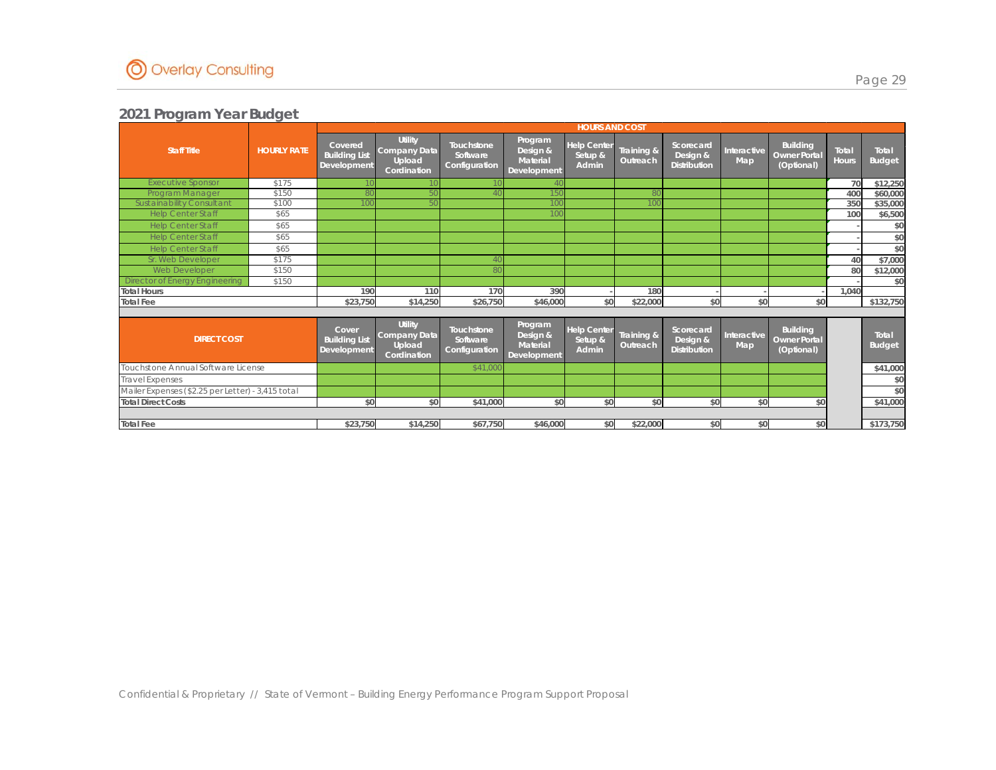

|                                                   |                    |                                                | <b>HOURS AND COST</b>                                   |                                                |                                                       |                                        |                        |                                              |                           |                                                      |                       |                        |
|---------------------------------------------------|--------------------|------------------------------------------------|---------------------------------------------------------|------------------------------------------------|-------------------------------------------------------|----------------------------------------|------------------------|----------------------------------------------|---------------------------|------------------------------------------------------|-----------------------|------------------------|
| <b>Staff Title</b>                                | <b>HOURLY RATE</b> | Covered<br><b>Building List</b><br>Development | <b>Utility</b><br>Company Data<br>Upload<br>Cordination | <b>Touchstone</b><br>Software<br>Configuration | Program<br>Design &<br>Material<br>Development        | <b>Help Center</b><br>Setup &<br>Admin | Training &<br>Outreach | Scorecard<br>Design &<br><b>Distribution</b> | Interactive<br><b>Map</b> | <b>Building</b><br><b>Owner Portal</b><br>(Optional) | Total<br><b>Hours</b> | Total<br><b>Budget</b> |
| <b>Executive Sponsor</b>                          | \$175              |                                                |                                                         |                                                |                                                       |                                        |                        |                                              |                           |                                                      | 70                    | \$12,250               |
| Program Manager                                   | \$150              |                                                |                                                         |                                                |                                                       |                                        |                        |                                              |                           |                                                      | 400                   | \$60,000               |
| Sustainability Consultant                         | \$100              |                                                |                                                         |                                                |                                                       |                                        |                        |                                              |                           |                                                      | 350                   | \$35,000               |
| <b>Help Center Staff</b>                          | \$65               |                                                |                                                         |                                                |                                                       |                                        |                        |                                              |                           |                                                      | 100                   | \$6,500                |
| <b>Help Center Staff</b>                          | \$65               |                                                |                                                         |                                                |                                                       |                                        |                        |                                              |                           |                                                      |                       | \$0                    |
| <b>Help Center Staff</b>                          | \$65               |                                                |                                                         |                                                |                                                       |                                        |                        |                                              |                           |                                                      |                       | \$0                    |
| <b>Help Center Staff</b>                          | \$65               |                                                |                                                         |                                                |                                                       |                                        |                        |                                              |                           |                                                      |                       | \$0                    |
| Sr. Web Developer                                 | \$175              |                                                |                                                         |                                                |                                                       |                                        |                        |                                              |                           |                                                      | 40                    | \$7,000                |
| <b>Web Developer</b>                              | \$150              |                                                |                                                         |                                                |                                                       |                                        |                        |                                              |                           |                                                      | 80                    | \$12,000               |
| Director of Energy Engineering                    | \$150              |                                                |                                                         |                                                |                                                       |                                        |                        |                                              |                           |                                                      |                       | \$0                    |
| <b>Total Hours</b>                                |                    | 190                                            | 110                                                     | 170                                            | 390                                                   |                                        | 180                    |                                              |                           |                                                      | 1.040                 |                        |
| <b>Total Fee</b>                                  |                    | \$23,750                                       | \$14,250                                                | \$26,750                                       | \$46,000                                              | \$0                                    | \$22,000               | \$0                                          | \$0                       | \$0                                                  |                       | \$132,750              |
|                                                   |                    |                                                |                                                         |                                                |                                                       |                                        |                        |                                              |                           |                                                      |                       |                        |
| <b>DIRECT COST</b>                                |                    | Cover<br><b>Building List</b><br>Development   | <b>Utility</b><br>Company Data<br>Upload<br>Cordination | <b>Touchstone</b><br>Software<br>Configuration | Program<br>Design &<br>Material<br><b>Development</b> | <b>Help Center</b><br>Setup &<br>Admin | Training &<br>Outreach | Scorecard<br>Design &<br><b>Distribution</b> | Interactive<br><b>Map</b> | <b>Building</b><br><b>Owner Portal</b><br>(Optional) |                       | Total<br><b>Budget</b> |
| Touchstone Annual Software License                |                    |                                                |                                                         | \$41,000                                       |                                                       |                                        |                        |                                              |                           |                                                      |                       | \$41,000               |
| <b>Travel Expenses</b>                            |                    |                                                |                                                         |                                                |                                                       |                                        |                        |                                              |                           |                                                      |                       | \$0                    |
| Mailer Expenses (\$2.25 per Letter) - 3,415 total |                    |                                                |                                                         |                                                |                                                       |                                        |                        |                                              |                           |                                                      |                       | \$0                    |
| <b>Total Direct Costs</b>                         |                    | \$0                                            | \$0                                                     | \$41,000                                       | \$0                                                   | \$0                                    | \$0                    | \$0                                          | \$0                       | \$0                                                  |                       | \$41,000               |
|                                                   |                    |                                                |                                                         |                                                |                                                       |                                        |                        |                                              |                           |                                                      |                       |                        |
| <b>Total Fee</b>                                  |                    | \$23.750                                       | \$14,250                                                | \$67.750                                       | \$46,000                                              | \$0                                    | \$22,000               | \$0                                          | \$0                       | \$0                                                  |                       | \$173,750              |

Page 29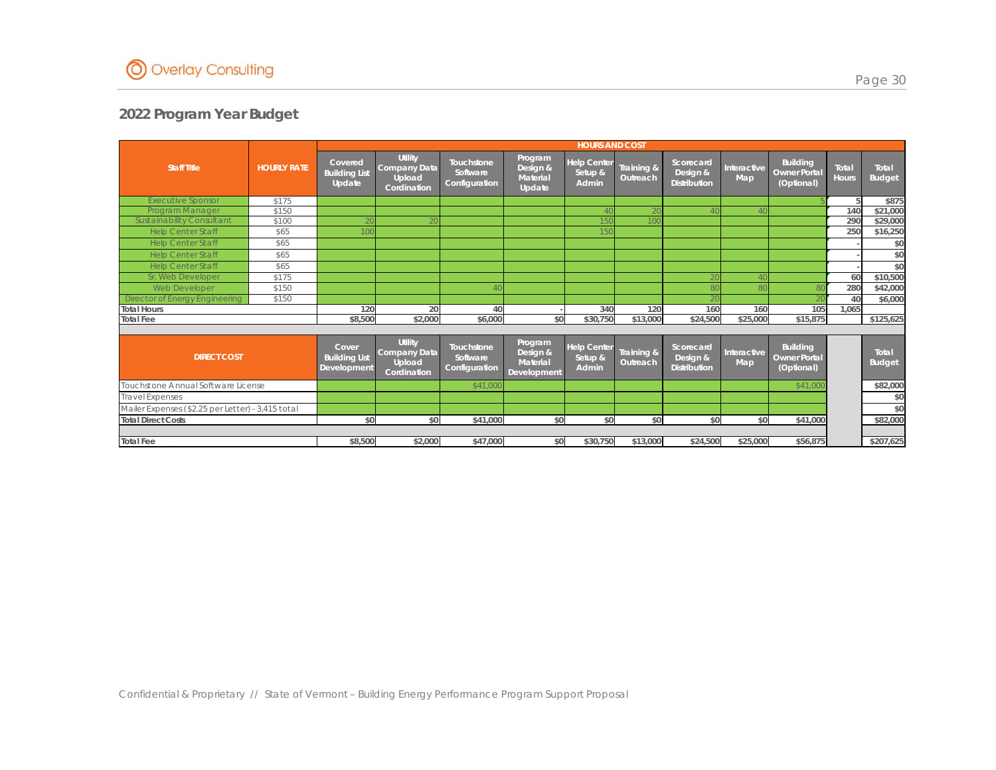

|                                                   |                    |                                              |                                                                |                                                |                                                | <b>HOURS AND COST</b>                  |                        |                                              |                    | <b>Building</b><br>Total<br>Total<br><b>Owner Portal</b><br><b>Hours</b><br>(Optional)<br>140<br>290<br>250<br>60<br>280<br>40<br>105<br>160<br>1.065<br>\$15,875<br><b>Building</b><br>Total<br><b>Owner Portal</b><br>(Optional)<br>\$41,000<br>\$0<br>\$41,000 |  |               |
|---------------------------------------------------|--------------------|----------------------------------------------|----------------------------------------------------------------|------------------------------------------------|------------------------------------------------|----------------------------------------|------------------------|----------------------------------------------|--------------------|-------------------------------------------------------------------------------------------------------------------------------------------------------------------------------------------------------------------------------------------------------------------|--|---------------|
| <b>Staff Title</b>                                | <b>HOURLY RATE</b> | Covered<br><b>Building List</b><br>Update    | <b>Utility</b><br>Company Data<br>Upload<br>Cordination        | Touchstone<br>Software<br>Configuration        | Program<br>Design &<br>Material<br>Update      | <b>Help Center</b><br>Setup &<br>Admin | Training &<br>Outreach | Scorecard<br>Design &<br><b>Distribution</b> | Interactive<br>Map |                                                                                                                                                                                                                                                                   |  | <b>Budget</b> |
| <b>Executive Sponsor</b>                          | \$175              |                                              |                                                                |                                                |                                                |                                        |                        |                                              |                    |                                                                                                                                                                                                                                                                   |  | \$875         |
| Program Manager                                   | \$150              |                                              |                                                                |                                                |                                                |                                        |                        |                                              |                    |                                                                                                                                                                                                                                                                   |  | \$21,000      |
| Sust ainability Consult ant                       | \$100              |                                              |                                                                |                                                |                                                |                                        |                        |                                              |                    |                                                                                                                                                                                                                                                                   |  | \$29,000      |
| <b>Help Center Staff</b>                          | \$65               |                                              |                                                                |                                                |                                                | l 50                                   |                        |                                              |                    |                                                                                                                                                                                                                                                                   |  | \$16,250      |
| <b>Help Center Staff</b>                          | \$65               |                                              |                                                                |                                                |                                                |                                        |                        |                                              |                    |                                                                                                                                                                                                                                                                   |  | \$0           |
| <b>Help Center Staff</b>                          | \$65               |                                              |                                                                |                                                |                                                |                                        |                        |                                              |                    |                                                                                                                                                                                                                                                                   |  | \$0           |
| <b>Help Center Staff</b>                          | \$65               |                                              |                                                                |                                                |                                                |                                        |                        |                                              |                    |                                                                                                                                                                                                                                                                   |  | \$0           |
| Sr. Web Developer                                 | \$175              |                                              |                                                                |                                                |                                                |                                        |                        | 2(                                           |                    |                                                                                                                                                                                                                                                                   |  | \$10,500      |
| Web Developer                                     | \$150              |                                              |                                                                |                                                |                                                |                                        |                        | 80                                           |                    |                                                                                                                                                                                                                                                                   |  | \$42,000      |
| <b>Director of Energy Engineering</b>             | \$150              |                                              |                                                                |                                                |                                                |                                        |                        | 20                                           |                    |                                                                                                                                                                                                                                                                   |  | \$6,000       |
| <b>Total Hours</b>                                |                    | 120                                          | 20                                                             | 40                                             |                                                | 340                                    | 120                    | 160                                          |                    |                                                                                                                                                                                                                                                                   |  |               |
| <b>Total Fee</b>                                  |                    | \$8,500                                      | \$2,000                                                        | \$6,000                                        | \$0                                            | \$30,750                               | \$13,000               | \$24,500                                     | \$25,000           |                                                                                                                                                                                                                                                                   |  | \$125,625     |
|                                                   |                    |                                              |                                                                |                                                |                                                |                                        |                        |                                              |                    |                                                                                                                                                                                                                                                                   |  |               |
| <b>DIRECT COST</b>                                |                    | Cover<br><b>Building List</b><br>Development | <b>Utility</b><br><b>Company Data</b><br>Upload<br>Cordination | <b>Touchstone</b><br>Software<br>Configuration | Program<br>Design &<br>Material<br>Development | <b>Help Center</b><br>Setup &<br>Admin | Training &<br>Outreach | Scorecard<br>Design &<br><b>Distribution</b> | Interactive<br>Map |                                                                                                                                                                                                                                                                   |  | <b>Budget</b> |
| Touchstone Annual Software License                |                    |                                              |                                                                | \$41,000                                       |                                                |                                        |                        |                                              |                    |                                                                                                                                                                                                                                                                   |  | \$82,000      |
| <b>Travel Expenses</b>                            |                    |                                              |                                                                |                                                |                                                |                                        |                        |                                              |                    |                                                                                                                                                                                                                                                                   |  | \$0           |
| Mailer Expenses (\$2.25 per Letter) - 3,415 total |                    |                                              |                                                                |                                                |                                                |                                        |                        |                                              |                    |                                                                                                                                                                                                                                                                   |  | \$0           |
| <b>Total Direct Costs</b>                         |                    | \$0                                          | \$0                                                            | \$41,000                                       | \$0                                            | \$0                                    | \$0                    | \$0                                          |                    |                                                                                                                                                                                                                                                                   |  | \$82,000      |
|                                                   |                    |                                              |                                                                |                                                |                                                |                                        |                        |                                              |                    |                                                                                                                                                                                                                                                                   |  |               |
| <b>Total Fee</b>                                  |                    | \$8,500                                      | \$2,000                                                        | \$47,000                                       | \$0                                            | \$30,750                               | \$13,000               | \$24,500                                     | \$25,000           | \$56,875                                                                                                                                                                                                                                                          |  | \$207,625     |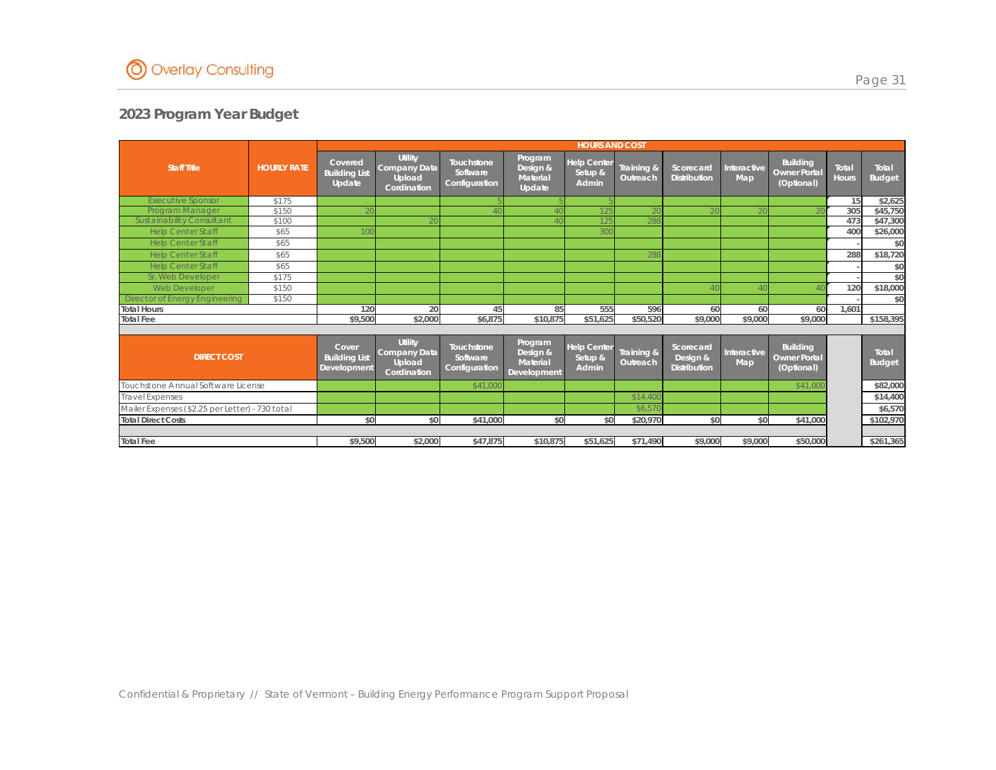

|                                                 |                    |                                              |                                                                |                                                |                                                | <b>HOURS AND COST</b>                  |                        |                                              |                    | <b>Building</b><br>Total<br>Total<br><b>Owner Portal</b><br><b>Hours</b><br><b>Budget</b><br>(Optional)<br>15<br>305<br>473<br>400<br>288<br>120<br>60<br>1.601<br>60<br>\$9,000<br><b>Building</b><br>Total<br><b>Owner Portal</b><br><b>Budget</b><br>(Optional)<br>\$41,000<br>\$0<br>\$41,000 |  |           |
|-------------------------------------------------|--------------------|----------------------------------------------|----------------------------------------------------------------|------------------------------------------------|------------------------------------------------|----------------------------------------|------------------------|----------------------------------------------|--------------------|---------------------------------------------------------------------------------------------------------------------------------------------------------------------------------------------------------------------------------------------------------------------------------------------------|--|-----------|
| <b>Staff Title</b>                              | <b>HOURLY RATE</b> | Covered<br><b>Building List</b><br>Update    | <b>Utility</b><br>Company Data<br>Upload<br>Cordination        | Touchstone<br>Software<br>Configuration        | Program<br>Design &<br>Material<br>Update      | <b>Help Center</b><br>Setup &<br>Admin | Training &<br>Outreach | Scorecard<br><b>Distribution</b>             | Interactive<br>Map |                                                                                                                                                                                                                                                                                                   |  |           |
| <b>Executive Sponsor</b>                        | \$175              |                                              |                                                                |                                                |                                                |                                        |                        |                                              |                    |                                                                                                                                                                                                                                                                                                   |  | \$2,625   |
| Program Manager                                 | \$150              |                                              |                                                                |                                                |                                                |                                        |                        |                                              |                    |                                                                                                                                                                                                                                                                                                   |  | \$45,750  |
| Sust ainability Consult ant                     | \$100              |                                              |                                                                |                                                |                                                |                                        | 288                    |                                              |                    |                                                                                                                                                                                                                                                                                                   |  | \$47,300  |
| <b>Help Center Staff</b>                        | \$65               |                                              |                                                                |                                                |                                                | 30C                                    |                        |                                              |                    |                                                                                                                                                                                                                                                                                                   |  | \$26,000  |
| <b>Help Center Staff</b>                        | \$65               |                                              |                                                                |                                                |                                                |                                        |                        |                                              |                    |                                                                                                                                                                                                                                                                                                   |  | \$0       |
| <b>Help Center Staff</b>                        | \$65               |                                              |                                                                |                                                |                                                |                                        | 288                    |                                              |                    |                                                                                                                                                                                                                                                                                                   |  | \$18,720  |
| <b>Help Center Staff</b>                        | \$65               |                                              |                                                                |                                                |                                                |                                        |                        |                                              |                    |                                                                                                                                                                                                                                                                                                   |  | \$0       |
| Sr. Web Developer                               | \$175              |                                              |                                                                |                                                |                                                |                                        |                        |                                              |                    |                                                                                                                                                                                                                                                                                                   |  | \$0       |
| Web Developer                                   | \$150              |                                              |                                                                |                                                |                                                |                                        |                        | $\Delta($                                    |                    |                                                                                                                                                                                                                                                                                                   |  | \$18,000  |
| <b>Director of Energy Engineering</b>           | \$150              |                                              |                                                                |                                                |                                                |                                        |                        |                                              |                    |                                                                                                                                                                                                                                                                                                   |  | \$0       |
| <b>Total Hours</b>                              |                    | 120                                          | 20                                                             | 45                                             | 85                                             | 555                                    | 596                    | 60                                           |                    |                                                                                                                                                                                                                                                                                                   |  |           |
| <b>Total Fee</b>                                |                    | \$9,500                                      | \$2,000                                                        | \$6,875                                        | \$10,875                                       | \$51,625                               | \$50,520               | \$9,000                                      | \$9,000            |                                                                                                                                                                                                                                                                                                   |  | \$158,395 |
|                                                 |                    |                                              |                                                                |                                                |                                                |                                        |                        |                                              |                    |                                                                                                                                                                                                                                                                                                   |  |           |
| <b>DIRECT COST</b>                              |                    | Cover<br><b>Building List</b><br>Development | <b>Utility</b><br><b>Company Data</b><br>Upload<br>Cordination | <b>Touchstone</b><br>Software<br>Configuration | Program<br>Design &<br>Material<br>Development | <b>Help Center</b><br>Setup &<br>Admin | Training &<br>Outreach | Scorecard<br>Design &<br><b>Distribution</b> | Interactive<br>Map |                                                                                                                                                                                                                                                                                                   |  |           |
| Touchstone Annual Software License              |                    |                                              |                                                                | \$41,000                                       |                                                |                                        |                        |                                              |                    |                                                                                                                                                                                                                                                                                                   |  | \$82,000  |
| <b>Travel Expenses</b>                          |                    |                                              |                                                                |                                                |                                                |                                        | \$14,400               |                                              |                    |                                                                                                                                                                                                                                                                                                   |  | \$14,400  |
| Mailer Expenses (\$2.25 per Letter) - 730 total |                    |                                              |                                                                |                                                |                                                |                                        | \$6,57                 |                                              |                    |                                                                                                                                                                                                                                                                                                   |  | \$6,570   |
| <b>Total Direct Costs</b>                       |                    | \$0                                          | \$0                                                            | \$41,000                                       | \$0                                            | \$0                                    | \$20,970               | \$0                                          |                    |                                                                                                                                                                                                                                                                                                   |  | \$102,970 |
|                                                 |                    |                                              |                                                                |                                                |                                                |                                        |                        |                                              |                    |                                                                                                                                                                                                                                                                                                   |  |           |
| <b>Total Fee</b>                                |                    |                                              | \$9,500<br>\$2,000                                             | \$47,875                                       | \$10,875                                       | \$51,625                               | \$71,490               | \$9,000                                      | \$9,000            | \$50,000                                                                                                                                                                                                                                                                                          |  | \$261,365 |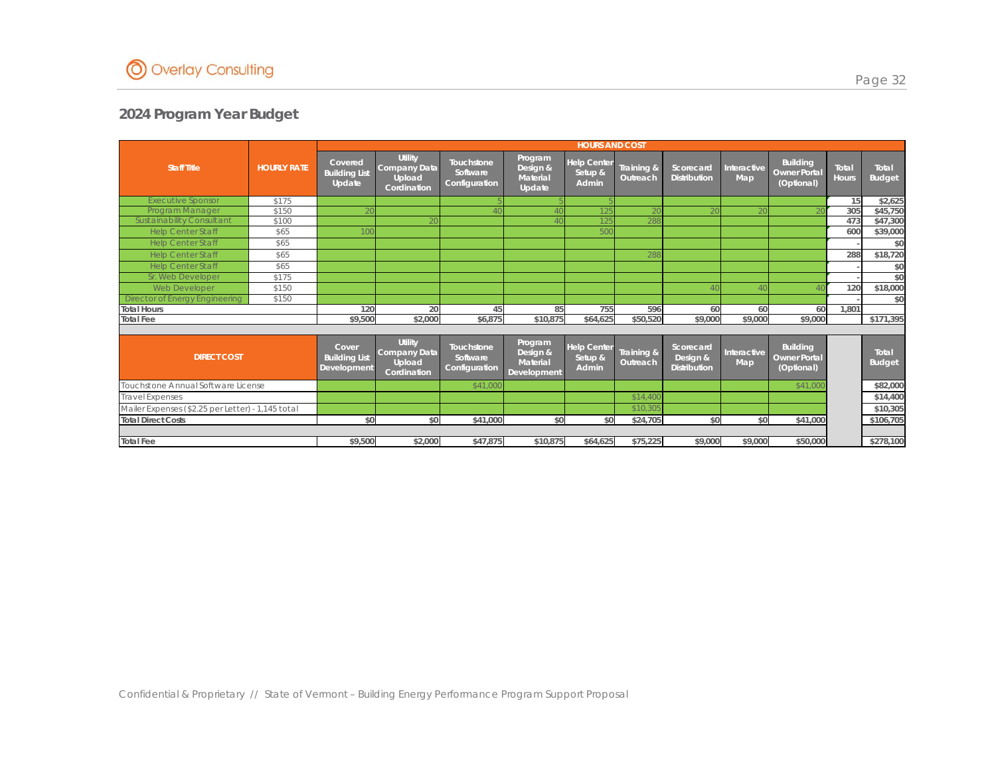

|                                                   |                    |                                              |                                                                |                                                |                                                | <b>HOURS AND COST</b>                  |                        |                                              |                    | <b>Building</b><br>Total<br>Total<br><b>Owner Portal</b><br><b>Hours</b><br><b>Budget</b><br>(Optional)<br>15<br>305<br>473<br>600<br>288<br>120<br>60<br>1.801<br>60<br>\$9,000<br><b>Building</b><br>Total<br><b>Owner Portal</b><br><b>Budget</b><br>(Optional)<br>\$41,000<br>\$0<br>\$41,000 |  |           |
|---------------------------------------------------|--------------------|----------------------------------------------|----------------------------------------------------------------|------------------------------------------------|------------------------------------------------|----------------------------------------|------------------------|----------------------------------------------|--------------------|---------------------------------------------------------------------------------------------------------------------------------------------------------------------------------------------------------------------------------------------------------------------------------------------------|--|-----------|
| <b>Staff Title</b>                                | <b>HOURLY RATE</b> | Covered<br><b>Building List</b><br>Update    | <b>Utility</b><br>Company Data<br>Upload<br>Cordination        | Touchstone<br>Software<br>Configuration        | Program<br>Design &<br>Material<br>Update      | <b>Help Center</b><br>Setup &<br>Admin | Training &<br>Outreach | Scorecard<br><b>Distribution</b>             | Interactive<br>Map |                                                                                                                                                                                                                                                                                                   |  |           |
| <b>Executive Sponsor</b>                          | \$175              |                                              |                                                                |                                                |                                                |                                        |                        |                                              |                    |                                                                                                                                                                                                                                                                                                   |  | \$2,625   |
| Program Manager                                   | \$150              |                                              |                                                                |                                                |                                                |                                        |                        |                                              |                    |                                                                                                                                                                                                                                                                                                   |  | \$45,750  |
| Sust ainability Consult ant                       | \$100              |                                              |                                                                |                                                |                                                |                                        | 288                    |                                              |                    |                                                                                                                                                                                                                                                                                                   |  | \$47,300  |
| <b>Help Center Staff</b>                          | \$65               |                                              |                                                                |                                                |                                                | 500                                    |                        |                                              |                    |                                                                                                                                                                                                                                                                                                   |  | \$39,000  |
| <b>Help Center Staff</b>                          | \$65               |                                              |                                                                |                                                |                                                |                                        |                        |                                              |                    |                                                                                                                                                                                                                                                                                                   |  | \$0       |
| <b>Help Center Staff</b>                          | \$65               |                                              |                                                                |                                                |                                                |                                        | 288                    |                                              |                    |                                                                                                                                                                                                                                                                                                   |  | \$18,720  |
| <b>Help Center Staff</b>                          | \$65               |                                              |                                                                |                                                |                                                |                                        |                        |                                              |                    |                                                                                                                                                                                                                                                                                                   |  | \$0       |
| Sr. Web Developer                                 | \$175              |                                              |                                                                |                                                |                                                |                                        |                        |                                              |                    |                                                                                                                                                                                                                                                                                                   |  | \$0       |
| Web Developer                                     | \$150              |                                              |                                                                |                                                |                                                |                                        |                        | $\Delta($                                    |                    |                                                                                                                                                                                                                                                                                                   |  | \$18,000  |
| <b>Director of Energy Engineering</b>             | \$150              |                                              |                                                                |                                                |                                                |                                        |                        |                                              |                    |                                                                                                                                                                                                                                                                                                   |  | \$0       |
| <b>Total Hours</b>                                |                    | 120                                          | 20                                                             | 45                                             | 85                                             | 755                                    | 596                    | 60                                           |                    |                                                                                                                                                                                                                                                                                                   |  |           |
| <b>Total Fee</b>                                  |                    | \$9,500                                      | \$2,000                                                        | \$6,875                                        | \$10,875                                       | \$64,625                               | \$50,520               | \$9,000                                      | \$9,000            |                                                                                                                                                                                                                                                                                                   |  | \$171,395 |
|                                                   |                    |                                              |                                                                |                                                |                                                |                                        |                        |                                              |                    |                                                                                                                                                                                                                                                                                                   |  |           |
| <b>DIRECT COST</b>                                |                    | Cover<br><b>Building List</b><br>Development | <b>Utility</b><br><b>Company Data</b><br>Upload<br>Cordination | <b>Touchstone</b><br>Software<br>Configuration | Program<br>Design &<br>Material<br>Development | <b>Help Center</b><br>Setup &<br>Admin | Training &<br>Outreach | Scorecard<br>Design &<br><b>Distribution</b> | Interactive<br>Map |                                                                                                                                                                                                                                                                                                   |  |           |
| Touchstone Annual Software License                |                    |                                              |                                                                | \$41,000                                       |                                                |                                        |                        |                                              |                    |                                                                                                                                                                                                                                                                                                   |  | \$82,000  |
| <b>Travel Expenses</b>                            |                    |                                              |                                                                |                                                |                                                |                                        | \$14,400               |                                              |                    |                                                                                                                                                                                                                                                                                                   |  | \$14,400  |
| Mailer Expenses (\$2.25 per Letter) - 1,145 total |                    |                                              |                                                                |                                                |                                                |                                        | \$10.30                |                                              |                    |                                                                                                                                                                                                                                                                                                   |  | \$10,305  |
| <b>Total Direct Costs</b>                         |                    | \$0                                          | \$0                                                            | \$41,000                                       | \$0                                            | \$0                                    | \$24,705               | \$0                                          |                    |                                                                                                                                                                                                                                                                                                   |  | \$106,705 |
|                                                   |                    |                                              |                                                                |                                                |                                                |                                        |                        |                                              |                    |                                                                                                                                                                                                                                                                                                   |  |           |
| <b>Total Fee</b>                                  |                    | \$9,500                                      | \$2,000                                                        | \$47,875                                       | \$10,875                                       | \$64,625                               | \$75,225               | \$9,000                                      | \$9,000            | \$50,000                                                                                                                                                                                                                                                                                          |  | \$278,100 |